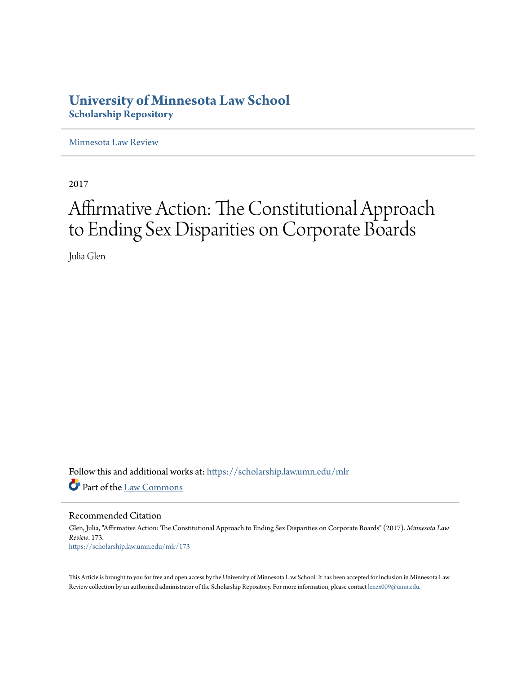# **University of Minnesota Law School [Scholarship Repository](https://scholarship.law.umn.edu?utm_source=scholarship.law.umn.edu%2Fmlr%2F173&utm_medium=PDF&utm_campaign=PDFCoverPages)**

[Minnesota Law Review](https://scholarship.law.umn.edu/mlr?utm_source=scholarship.law.umn.edu%2Fmlr%2F173&utm_medium=PDF&utm_campaign=PDFCoverPages)

2017

# Affirmative Action: The Constitutional Approach to Ending Sex Disparities on Corporate Boards

Julia Glen

Follow this and additional works at: [https://scholarship.law.umn.edu/mlr](https://scholarship.law.umn.edu/mlr?utm_source=scholarship.law.umn.edu%2Fmlr%2F173&utm_medium=PDF&utm_campaign=PDFCoverPages) Part of the [Law Commons](http://network.bepress.com/hgg/discipline/578?utm_source=scholarship.law.umn.edu%2Fmlr%2F173&utm_medium=PDF&utm_campaign=PDFCoverPages)

Recommended Citation

Glen, Julia, "Affirmative Action: The Constitutional Approach to Ending Sex Disparities on Corporate Boards" (2017). *Minnesota Law Review*. 173. [https://scholarship.law.umn.edu/mlr/173](https://scholarship.law.umn.edu/mlr/173?utm_source=scholarship.law.umn.edu%2Fmlr%2F173&utm_medium=PDF&utm_campaign=PDFCoverPages)

This Article is brought to you for free and open access by the University of Minnesota Law School. It has been accepted for inclusion in Minnesota Law Review collection by an authorized administrator of the Scholarship Repository. For more information, please contact [lenzx009@umn.edu.](mailto:lenzx009@umn.edu)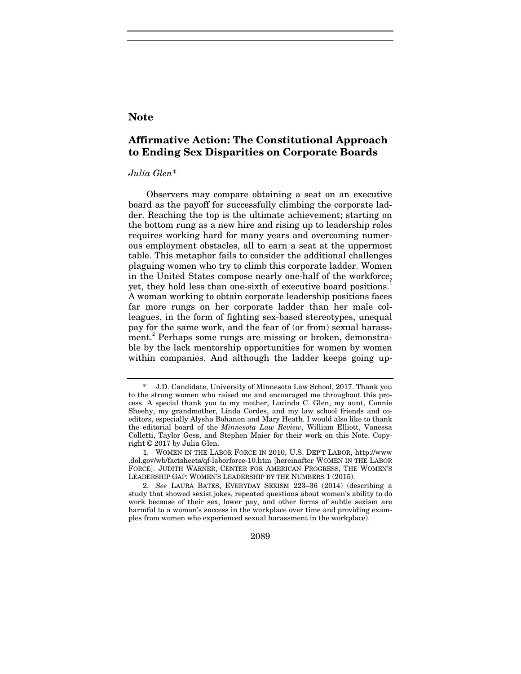# **Note**

# **Affirmative Action: The Constitutional Approach to Ending Sex Disparities on Corporate Boards**

# *Julia Glen*\*

Observers may compare obtaining a seat on an executive board as the payoff for successfully climbing the corporate ladder. Reaching the top is the ultimate achievement; starting on the bottom rung as a new hire and rising up to leadership roles requires working hard for many years and overcoming numerous employment obstacles, all to earn a seat at the uppermost table. This metaphor fails to consider the additional challenges plaguing women who try to climb this corporate ladder. Women in the United States compose nearly one-half of the workforce; yet, they hold less than one-sixth of executive board positions.<sup>1</sup> A woman working to obtain corporate leadership positions faces far more rungs on her corporate ladder than her male colleagues, in the form of fighting sex-based stereotypes, unequal pay for the same work, and the fear of (or from) sexual harassment.<sup>2</sup> Perhaps some rungs are missing or broken, demonstrable by the lack mentorship opportunities for women by women within companies. And although the ladder keeps going up-

2089

<sup>\*</sup> J.D. Candidate, University of Minnesota Law School, 2017. Thank you to the strong women who raised me and encouraged me throughout this process. A special thank you to my mother, Lucinda C. Glen, my aunt, Connie Sheehy, my grandmother, Linda Cordes, and my law school friends and coeditors, especially Alysha Bohanon and Mary Heath. I would also like to thank the editorial board of the *Minnesota Law Review*, William Elliott, Vanessa Colletti, Taylor Gess, and Stephen Maier for their work on this Note. Copyright © 2017 by Julia Glen.

<sup>1.</sup> WOMEN IN THE LABOR FORCE IN 2010, U.S. DEP'T LABOR, http://www .dol.gov/wb/factsheets/qf-laborforce-10.htm [hereinafter WOMEN IN THE LABOR FORCE]. JUDITH WARNER, CENTER FOR AMERICAN PROGRESS, THE WOMEN'S LEADERSHIP GAP: WOMEN'S LEADERSHIP BY THE NUMBERS 1 (2015).

<sup>2.</sup> *See* LAURA BATES, EVERYDAY SEXISM 223–36 (2014) (describing a study that showed sexist jokes, repeated questions about women's ability to do work because of their sex, lower pay, and other forms of subtle sexism are harmful to a woman's success in the workplace over time and providing examples from women who experienced sexual harassment in the workplace).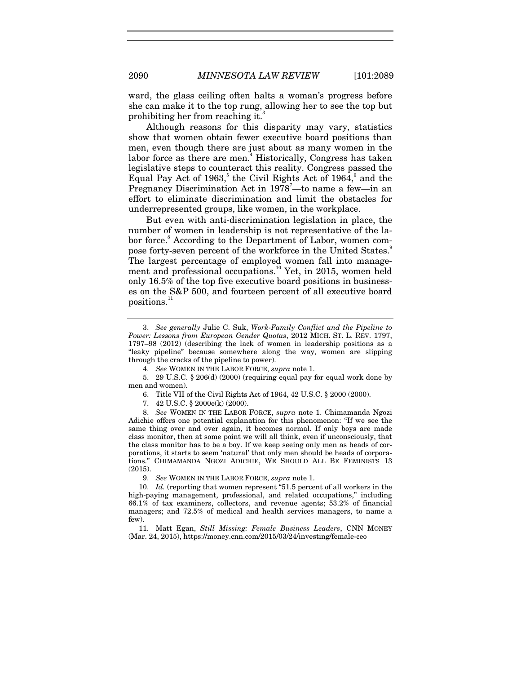ward, the glass ceiling often halts a woman's progress before she can make it to the top rung, allowing her to see the top but prohibiting her from reaching it.

Although reasons for this disparity may vary, statistics show that women obtain fewer executive board positions than men, even though there are just about as many women in the labor force as there are men.<sup>4</sup> Historically, Congress has taken legislative steps to counteract this reality. Congress passed the Equal Pay Act of 1963,<sup>5</sup> the Civil Rights Act of 1964,<sup>6</sup> and the Pregnancy Discrimination Act in 1978<sup>7</sup>-to name a few-in an effort to eliminate discrimination and limit the obstacles for underrepresented groups, like women, in the workplace.

But even with anti-discrimination legislation in place, the number of women in leadership is not representative of the labor force.<sup>8</sup> According to the Department of Labor, women compose forty-seven percent of the workforce in the United States.<sup>9</sup> The largest percentage of employed women fall into management and professional occupations.<sup>10</sup> Yet, in 2015, women held only 16.5% of the top five executive board positions in businesses on the S&P 500, and fourteen percent of all executive board positions.<sup>11</sup>

 5. 29 U.S.C. § 206(d) (2000) (requiring equal pay for equal work done by men and women).

6. Title VII of the Civil Rights Act of 1964, 42 U.S.C. § 2000 (2000).

7. 42 U.S.C. § 2000e(k) (2000).

8. *See* WOMEN IN THE LABOR FORCE, *supra* note 1. Chimamanda Ngozi Adichie offers one potential explanation for this phenomenon: "If we see the same thing over and over again, it becomes normal. If only boys are made class monitor, then at some point we will all think, even if unconsciously, that the class monitor has to be a boy. If we keep seeing only men as heads of corporations, it starts to seem 'natural' that only men should be heads of corporations." CHIMAMANDA NGOZI ADICHIE, WE SHOULD ALL BE FEMINISTS 13 (2015).

9. *See* WOMEN IN THE LABOR FORCE, *supra* note 1.

10. *Id.* (reporting that women represent "51.5 percent of all workers in the high-paying management, professional, and related occupations," including 66.1% of tax examiners, collectors, and revenue agents; 53.2% of financial managers; and 72.5% of medical and health services managers, to name a few).

 11. Matt Egan, *Still Missing: Female Business Leaders*, CNN MONEY (Mar. 24, 2015), https://money.cnn.com/2015/03/24/investing/female-ceo

<sup>3.</sup> *See generally* Julie C. Suk, *Work-Family Conflict and the Pipeline to Power: Lessons from European Gender Quotas*, 2012 MICH. ST. L. REV. 1797, 1797–98 (2012) (describing the lack of women in leadership positions as a "leaky pipeline" because somewhere along the way, women are slipping through the cracks of the pipeline to power).

<sup>4.</sup> *See* WOMEN IN THE LABOR FORCE, *supra* note 1.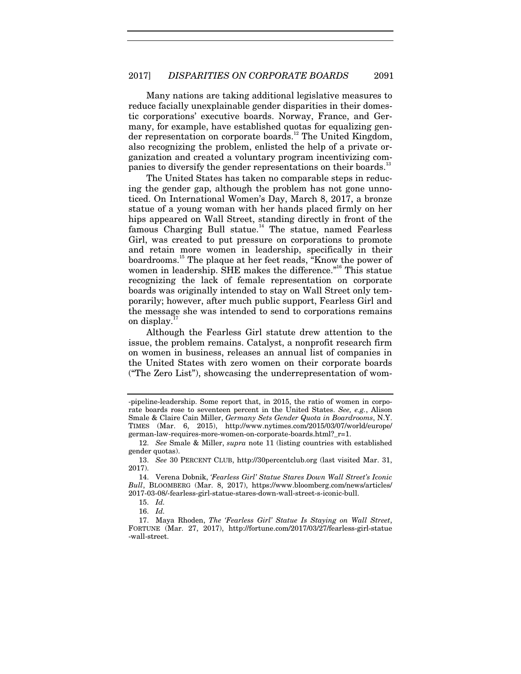Many nations are taking additional legislative measures to reduce facially unexplainable gender disparities in their domestic corporations' executive boards. Norway, France, and Germany, for example, have established quotas for equalizing gender representation on corporate boards.<sup>12</sup> The United Kingdom, also recognizing the problem, enlisted the help of a private organization and created a voluntary program incentivizing companies to diversify the gender representations on their boards.<sup>13</sup>

The United States has taken no comparable steps in reducing the gender gap, although the problem has not gone unnoticed. On International Women's Day, March 8, 2017, a bronze statue of a young woman with her hands placed firmly on her hips appeared on Wall Street, standing directly in front of the famous Charging Bull statue.<sup>14</sup> The statue, named Fearless Girl, was created to put pressure on corporations to promote and retain more women in leadership, specifically in their boardrooms.15 The plaque at her feet reads, "Know the power of women in leadership. SHE makes the difference."<sup>16</sup> This statue recognizing the lack of female representation on corporate boards was originally intended to stay on Wall Street only temporarily; however, after much public support, Fearless Girl and the message she was intended to send to corporations remains on display.<sup>1</sup>

Although the Fearless Girl statute drew attention to the issue, the problem remains. Catalyst, a nonprofit research firm on women in business, releases an annual list of companies in the United States with zero women on their corporate boards ("The Zero List"), showcasing the underrepresentation of wom-

<sup>-</sup>pipeline-leadership. Some report that, in 2015, the ratio of women in corporate boards rose to seventeen percent in the United States. *See, e.g.*, Alison Smale & Claire Cain Miller, *Germany Sets Gender Quota in Boardrooms*, N.Y. TIMES (Mar. 6, 2015), http://www.nytimes.com/2015/03/07/world/europe/ german-law-requires-more-women-on-corporate-boards.html?\_r=1.

<sup>12.</sup> *See* Smale & Miller, *supra* note 11 (listing countries with established gender quotas).

<sup>13.</sup> *See* 30 PERCENT CLUB, http://30percentclub.org (last visited Mar. 31, 2017).

 <sup>14.</sup> Verena Dobnik, *'Fearless Girl' Statue Stares Down Wall Street's Iconic Bull*, BLOOMBERG (Mar. 8, 2017), https://www.bloomberg.com/news/articles/ 2017-03-08/-fearless-girl-statue-stares-down-wall-street-s-iconic-bull.

 <sup>15.</sup> *Id.*

 <sup>16.</sup> *Id.*

 <sup>17.</sup> Maya Rhoden, *The 'Fearless Girl' Statue Is Staying on Wall Street*, FORTUNE (Mar. 27, 2017), http://fortune.com/2017/03/27/fearless-girl-statue -wall-street.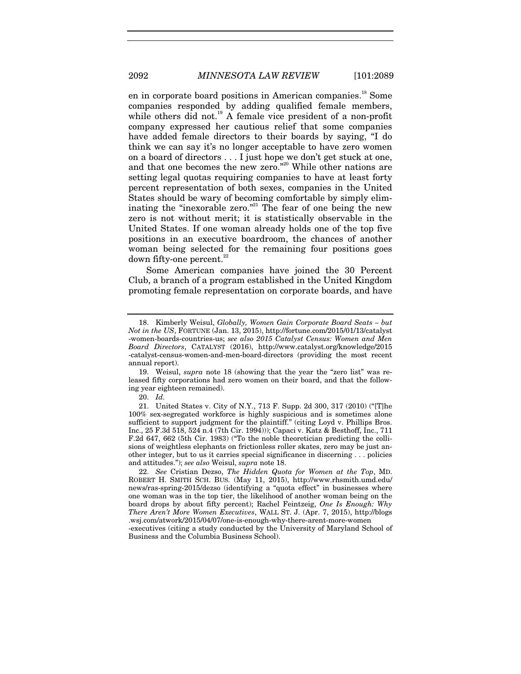en in corporate board positions in American companies.<sup>18</sup> Some companies responded by adding qualified female members, while others did not.<sup>19</sup> A female vice president of a non-profit company expressed her cautious relief that some companies have added female directors to their boards by saying, "I do think we can say it's no longer acceptable to have zero women on a board of directors . . . I just hope we don't get stuck at one, and that one becomes the new zero."<sup>20</sup> While other nations are setting legal quotas requiring companies to have at least forty percent representation of both sexes, companies in the United States should be wary of becoming comfortable by simply eliminating the "inexorable zero."<sup>21</sup> The fear of one being the new zero is not without merit; it is statistically observable in the United States. If one woman already holds one of the top five positions in an executive boardroom, the chances of another woman being selected for the remaining four positions goes down fifty-one percent. $22$ 

Some American companies have joined the 30 Percent Club, a branch of a program established in the United Kingdom promoting female representation on corporate boards, and have

20. *Id.*

-executives (citing a study conducted by the University of Maryland School of Business and the Columbia Business School).

 <sup>18.</sup> Kimberly Weisul, *Globally, Women Gain Corporate Board Seats – but Not in the US*, FORTUNE (Jan. 13, 2015), http://fortune.com/2015/01/13/catalyst -women-boards-countries-us; *see also 2015 Catalyst Census: Women and Men Board Directors*, CATALYST (2016), http://www.catalyst.org/knowledge/2015 -catalyst-census-women-and-men-board-directors (providing the most recent annual report).

 <sup>19.</sup> Weisul, *supra* note 18 (showing that the year the "zero list" was released fifty corporations had zero women on their board, and that the following year eighteen remained).

<sup>21.</sup> United States v. City of N.Y., 713 F. Supp. 2d 300, 317 (2010) ("[T]he 100% sex-segregated workforce is highly suspicious and is sometimes alone sufficient to support judgment for the plaintiff." (citing Loyd v. Phillips Bros. Inc., 25 F.3d 518, 524 n.4 (7th Cir. 1994))); Capaci v. Katz & Besthoff, Inc., 711 F.2d 647, 662 (5th Cir. 1983) ("To the noble theoretician predicting the collisions of weightless elephants on frictionless roller skates, zero may be just another integer, but to us it carries special significance in discerning . . . policies and attitudes."); *see also* Weisul, *supra* note 18.

<sup>22.</sup> *See* Cristian Dezso, *The Hidden Quota for Women at the Top*, MD. ROBERT H. SMITH SCH. BUS. (May 11, 2015), http://www.rhsmith.umd.edu/ news/ras-spring-2015/dezso (identifying a "quota effect" in businesses where one woman was in the top tier, the likelihood of another woman being on the board drops by about fifty percent); Rachel Feintzeig, *One Is Enough: Why There Aren't More Women Executives*, WALL ST. J. (Apr. 7, 2015), http://blogs .wsj.com/atwork/2015/04/07/one-is-enough-why-there-arent-more-women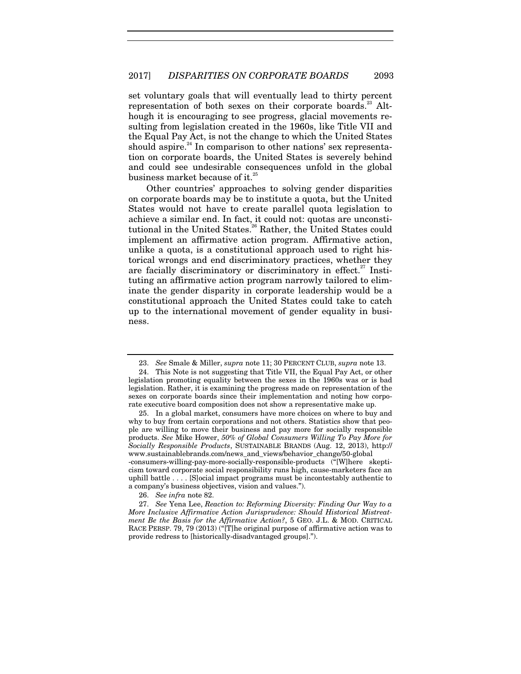set voluntary goals that will eventually lead to thirty percent representation of both sexes on their corporate boards.<sup>23</sup> Although it is encouraging to see progress, glacial movements resulting from legislation created in the 1960s, like Title VII and the Equal Pay Act, is not the change to which the United States should aspire.<sup>24</sup> In comparison to other nations' sex representation on corporate boards, the United States is severely behind and could see undesirable consequences unfold in the global business market because of it.<sup>25</sup>

Other countries' approaches to solving gender disparities on corporate boards may be to institute a quota, but the United States would not have to create parallel quota legislation to achieve a similar end. In fact, it could not: quotas are unconstitutional in the United States.<sup>26</sup> Rather, the United States could implement an affirmative action program. Affirmative action, unlike a quota, is a constitutional approach used to right historical wrongs and end discriminatory practices, whether they are facially discriminatory or discriminatory in effect.<sup>27</sup> Instituting an affirmative action program narrowly tailored to eliminate the gender disparity in corporate leadership would be a constitutional approach the United States could take to catch up to the international movement of gender equality in business.

26. *See infra* note 82.

27. *See* Yena Lee, *Reaction to: Reforming Diversity: Finding Our Way to a More Inclusive Affirmative Action Jurisprudence: Should Historical Mistreatment Be the Basis for the Affirmative Action?*, 5 GEO. J.L. & MOD. CRITICAL RACE PERSP. 79, 79 (2013) ("[T]he original purpose of affirmative action was to provide redress to [historically-disadvantaged groups].").

<sup>23.</sup> *See* Smale & Miller, *supra* note 11; 30 PERCENT CLUB, *supra* note 13.

 <sup>24.</sup> This Note is not suggesting that Title VII, the Equal Pay Act, or other legislation promoting equality between the sexes in the 1960s was or is bad legislation. Rather, it is examining the progress made on representation of the sexes on corporate boards since their implementation and noting how corporate executive board composition does not show a representative make up.

 <sup>25.</sup> In a global market, consumers have more choices on where to buy and why to buy from certain corporations and not others. Statistics show that people are willing to move their business and pay more for socially responsible products. *See* Mike Hower, *50% of Global Consumers Willing To Pay More for Socially Responsible Products*, SUSTAINABLE BRANDS (Aug. 12, 2013), http:// www.sustainablebrands.com/news\_and\_views/behavior\_change/50-global -consumers-willing-pay-more-socially-responsible-products ("[W]here skepticism toward corporate social responsibility runs high, cause-marketers face an uphill battle . . . . [S]ocial impact programs must be incontestably authentic to a company's business objectives, vision and values.").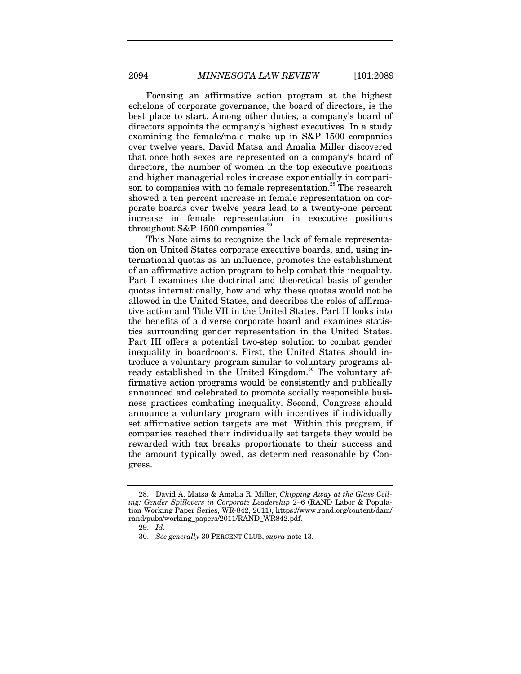Focusing an affirmative action program at the highest echelons of corporate governance, the board of directors, is the best place to start. Among other duties, a company's board of directors appoints the company's highest executives. In a study examining the female/male make up in S&P 1500 companies over twelve years, David Matsa and Amalia Miller discovered that once both sexes are represented on a company's board of directors, the number of women in the top executive positions and higher managerial roles increase exponentially in comparison to companies with no female representation.<sup>28</sup> The research showed a ten percent increase in female representation on corporate boards over twelve years lead to a twenty-one percent increase in female representation in executive positions throughout S&P 1500 companies.<sup>29</sup>

This Note aims to recognize the lack of female representation on United States corporate executive boards, and, using international quotas as an influence, promotes the establishment of an affirmative action program to help combat this inequality. Part I examines the doctrinal and theoretical basis of gender quotas internationally, how and why these quotas would not be allowed in the United States, and describes the roles of affirmative action and Title VII in the United States. Part II looks into the benefits of a diverse corporate board and examines statistics surrounding gender representation in the United States. Part III offers a potential two-step solution to combat gender inequality in boardrooms. First, the United States should introduce a voluntary program similar to voluntary programs already established in the United Kingdom.<sup>30</sup> The voluntary affirmative action programs would be consistently and publically announced and celebrated to promote socially responsible business practices combating inequality. Second, Congress should announce a voluntary program with incentives if individually set affirmative action targets are met. Within this program, if companies reached their individually set targets they would be rewarded with tax breaks proportionate to their success and the amount typically owed, as determined reasonable by Congress.

 <sup>28.</sup> David A. Matsa & Amalia R. Miller, *Chipping Away at the Glass Ceiling: Gender Spillovers in Corporate Leadership* 2–6 (RAND Labor & Population Working Paper Series, WR-842, 2011), https://www.rand.org/content/dam/ rand/pubs/working\_papers/2011/RAND\_WR842.pdf.

<sup>29.</sup> *Id.*

<sup>30.</sup> *See generally* 30 PERCENT CLUB, *supra* note 13.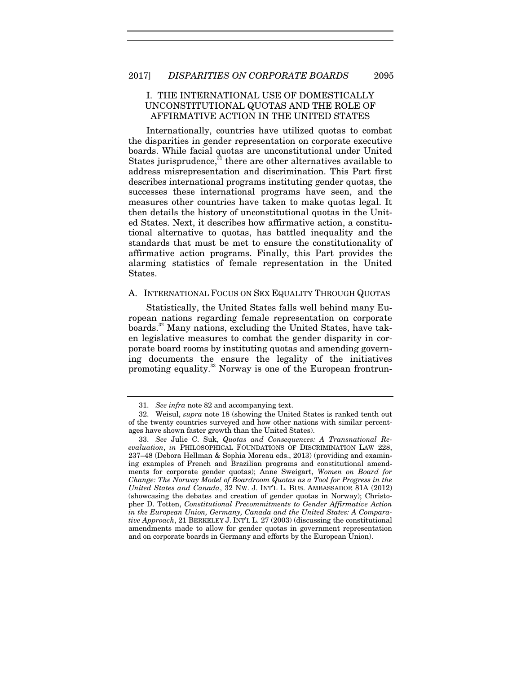# I. THE INTERNATIONAL USE OF DOMESTICALLY UNCONSTITUTIONAL QUOTAS AND THE ROLE OF AFFIRMATIVE ACTION IN THE UNITED STATES

Internationally, countries have utilized quotas to combat the disparities in gender representation on corporate executive boards. While facial quotas are unconstitutional under United States jurisprudence, $31$  there are other alternatives available to address misrepresentation and discrimination. This Part first describes international programs instituting gender quotas, the successes these international programs have seen, and the measures other countries have taken to make quotas legal. It then details the history of unconstitutional quotas in the United States. Next, it describes how affirmative action, a constitutional alternative to quotas, has battled inequality and the standards that must be met to ensure the constitutionality of affirmative action programs. Finally, this Part provides the alarming statistics of female representation in the United States.

# A. INTERNATIONAL FOCUS ON SEX EQUALITY THROUGH QUOTAS

Statistically, the United States falls well behind many European nations regarding female representation on corporate boards.32 Many nations, excluding the United States, have taken legislative measures to combat the gender disparity in corporate board rooms by instituting quotas and amending governing documents the ensure the legality of the initiatives promoting equality.<sup>33</sup> Norway is one of the European frontrun-

<sup>31.</sup> *See infra* note 82 and accompanying text.

 <sup>32.</sup> Weisul, *supra* note 18 (showing the United States is ranked tenth out of the twenty countries surveyed and how other nations with similar percentages have shown faster growth than the United States).

<sup>33.</sup> *See* Julie C. Suk, *Quotas and Consequences: A Transnational Reevaluation*, *in* PHILOSOPHICAL FOUNDATIONS OF DISCRIMINATION LAW 228, 237–48 (Debora Hellman & Sophia Moreau eds., 2013) (providing and examining examples of French and Brazilian programs and constitutional amendments for corporate gender quotas); Anne Sweigart, *Women on Board for Change: The Norway Model of Boardroom Quotas as a Tool for Progress in the United States and Canada*, 32 NW. J. INT'L L. BUS. AMBASSADOR 81A (2012) (showcasing the debates and creation of gender quotas in Norway); Christopher D. Totten, *Constitutional Precommitments to Gender Affirmative Action in the European Union, Germany, Canada and the United States: A Comparative Approach*, 21 BERKELEY J. INT'L L. 27 (2003) (discussing the constitutional amendments made to allow for gender quotas in government representation and on corporate boards in Germany and efforts by the European Union).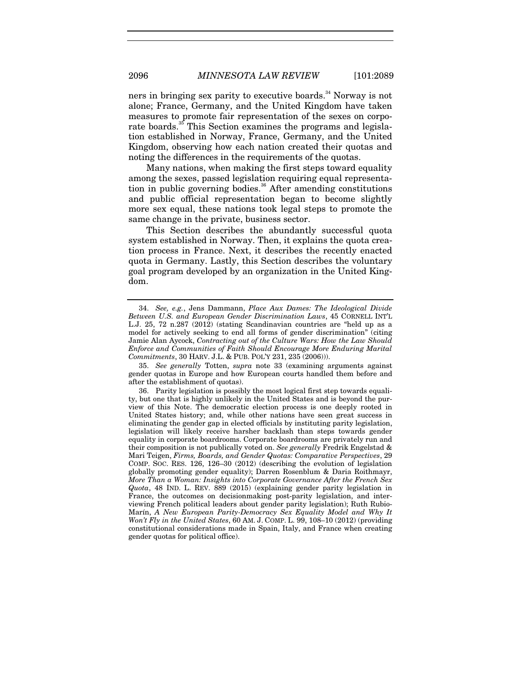ners in bringing sex parity to executive boards.<sup>34</sup> Norway is not alone; France, Germany, and the United Kingdom have taken measures to promote fair representation of the sexes on corporate boards.<sup>35</sup> This Section examines the programs and legislation established in Norway, France, Germany, and the United Kingdom, observing how each nation created their quotas and noting the differences in the requirements of the quotas.

Many nations, when making the first steps toward equality among the sexes, passed legislation requiring equal representation in public governing bodies.<sup>36</sup> After amending constitutions and public official representation began to become slightly more sex equal, these nations took legal steps to promote the same change in the private, business sector.

This Section describes the abundantly successful quota system established in Norway. Then, it explains the quota creation process in France. Next, it describes the recently enacted quota in Germany. Lastly, this Section describes the voluntary goal program developed by an organization in the United Kingdom.

<sup>34.</sup> *See, e.g.*, Jens Dammann, *Place Aux Dames: The Ideological Divide Between U.S. and European Gender Discrimination Laws*, 45 CORNELL INT'L L.J. 25, 72 n.287 (2012) (stating Scandinavian countries are "held up as a model for actively seeking to end all forms of gender discrimination" (citing Jamie Alan Aycock, *Contracting out of the Culture Wars: How the Law Should Enforce and Communities of Faith Should Encourage More Enduring Marital Commitments*, 30 HARV. J.L. & PUB. POL'Y 231, 235 (2006))).

<sup>35.</sup> *See generally* Totten, *supra* note 33 (examining arguments against gender quotas in Europe and how European courts handled them before and after the establishment of quotas).

 <sup>36.</sup> Parity legislation is possibly the most logical first step towards equality, but one that is highly unlikely in the United States and is beyond the purview of this Note. The democratic election process is one deeply rooted in United States history; and, while other nations have seen great success in eliminating the gender gap in elected officials by instituting parity legislation, legislation will likely receive harsher backlash than steps towards gender equality in corporate boardrooms. Corporate boardrooms are privately run and their composition is not publically voted on. *See generally* Fredrik Engelstad & Mari Teigen, *Firms, Boards, and Gender Quotas: Comparative Perspectives*, 29 COMP. SOC. RES. 126, 126–30 (2012) (describing the evolution of legislation globally promoting gender equality); Darren Rosenblum & Daria Roithmayr, *More Than a Woman: Insights into Corporate Governance After the French Sex Quota*, 48 IND. L. REV. 889 (2015) (explaining gender parity legislation in France, the outcomes on decisionmaking post-parity legislation, and interviewing French political leaders about gender parity legislation); Ruth Rubio-Marín, *A New European Parity-Democracy Sex Equality Model and Why It Won't Fly in the United States*, 60 AM. J. COMP. L. 99, 108–10 (2012) (providing constitutional considerations made in Spain, Italy, and France when creating gender quotas for political office).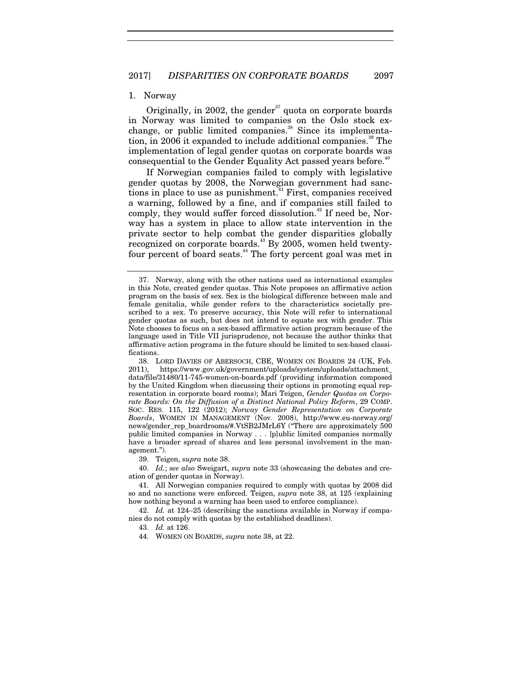#### 1. Norway

Originally, in 2002, the gender<sup>37</sup> quota on corporate boards in Norway was limited to companies on the Oslo stock exchange, or public limited companies.<sup>38</sup> Since its implementation, in 2006 it expanded to include additional companies.<sup>39</sup> The implementation of legal gender quotas on corporate boards was consequential to the Gender Equality Act passed years before.<sup>40</sup>

If Norwegian companies failed to comply with legislative gender quotas by 2008, the Norwegian government had sanctions in place to use as punishment.<sup>41</sup> First, companies received a warning, followed by a fine, and if companies still failed to comply, they would suffer forced dissolution.<sup> $42$ </sup> If need be, Norway has a system in place to allow state intervention in the private sector to help combat the gender disparities globally recognized on corporate boards.<sup>43</sup> By 2005, women held twentyfour percent of board seats.<sup>44</sup> The forty percent goal was met in

39. Teigen, *supra* note 38.

40. *Id.*; *see also* Sweigart, *supra* note 33 (showcasing the debates and creation of gender quotas in Norway).

42. *Id.* at 124–25 (describing the sanctions available in Norway if companies do not comply with quotas by the established deadlines).

44. WOMEN ON BOARDS, *supra* note 38, at 22.

 <sup>37.</sup> Norway, along with the other nations used as international examples in this Note, created gender quotas. This Note proposes an affirmative action program on the basis of sex. Sex is the biological difference between male and female genitalia, while gender refers to the characteristics societally prescribed to a sex. To preserve accuracy, this Note will refer to international gender quotas as such, but does not intend to equate sex with gender. This Note chooses to focus on a sex-based affirmative action program because of the language used in Title VII jurisprudence, not because the author thinks that affirmative action programs in the future should be limited to sex-based classifications.

 <sup>38.</sup> LORD DAVIES OF ABERSOCH, CBE, WOMEN ON BOARDS 24 (UK, Feb. 2011), https://www.gov.uk/government/uploads/system/uploads/attachment\_ data/file/31480/11-745-women-on-boards.pdf (providing information composed by the United Kingdom when discussing their options in promoting equal representation in corporate board rooms); Mari Teigen, *Gender Quotas on Corporate Boards: On the Diffusion of a Distinct National Policy Reform*, 29 COMP. SOC. RES. 115, 122 (2012); *Norway Gender Representation on Corporate Boards*, WOMEN IN MANAGEMENT (Nov. 2008), http://www.eu-norway.org/ news/gender\_rep\_boardrooms/#.VtSB2JMrL6Y ("There are approximately 500 public limited companies in Norway . . . [p]ublic limited companies normally have a broader spread of shares and less personal involvement in the management.").

 <sup>41.</sup> All Norwegian companies required to comply with quotas by 2008 did so and no sanctions were enforced. Teigen, *supra* note 38, at 125 (explaining how nothing beyond a warning has been used to enforce compliance).

 <sup>43.</sup> *Id.* at 126.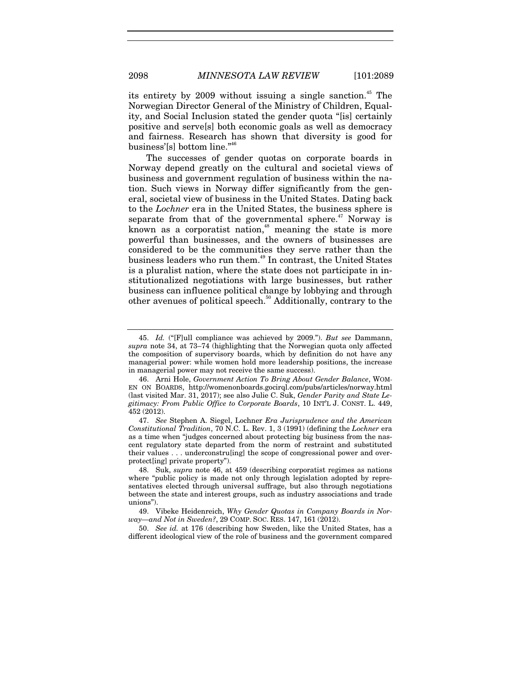its entirety by  $2009$  without issuing a single sanction.<sup>45</sup> The Norwegian Director General of the Ministry of Children, Equality, and Social Inclusion stated the gender quota "[is] certainly positive and serve[s] both economic goals as well as democracy and fairness. Research has shown that diversity is good for business'[s] bottom line."46

The successes of gender quotas on corporate boards in Norway depend greatly on the cultural and societal views of business and government regulation of business within the nation. Such views in Norway differ significantly from the general, societal view of business in the United States. Dating back to the *Lochner* era in the United States, the business sphere is separate from that of the governmental sphere.<sup> $47$ </sup> Norway is known as a corporatist nation,<sup>48</sup> meaning the state is more powerful than businesses, and the owners of businesses are considered to be the communities they serve rather than the business leaders who run them.49 In contrast, the United States is a pluralist nation, where the state does not participate in institutionalized negotiations with large businesses, but rather business can influence political change by lobbying and through other avenues of political speech.<sup>50</sup> Additionally, contrary to the

50. *See id.* at 176 (describing how Sweden, like the United States, has a different ideological view of the role of business and the government compared

<sup>45.</sup> *Id.* ("[F]ull compliance was achieved by 2009."). *But see* Dammann, *supra* note 34, at 73–74 (highlighting that the Norwegian quota only affected the composition of supervisory boards, which by definition do not have any managerial power: while women hold more leadership positions, the increase in managerial power may not receive the same success).

 <sup>46.</sup> Arni Hole, *Government Action To Bring About Gender Balance*, WOM-EN ON BOARDS, http://womenonboards.gocirql.com/pubs/articles/norway.html (last visited Mar. 31, 2017); see also Julie C. Suk, *Gender Parity and State Legitimacy: From Public Office to Corporate Boards*, 10 INT'L J. CONST. L. 449, 452 (2012).

<sup>47.</sup> *See* Stephen A. Siegel, Lochner *Era Jurisprudence and the American Constitutional Tradition*, 70 N.C. L. Rev. 1, 3 (1991) (defining the *Lochner* era as a time when "judges concerned about protecting big business from the nascent regulatory state departed from the norm of restraint and substituted their values . . . underconstru[ing] the scope of congressional power and overprotect[ing] private property").

 <sup>48.</sup> Suk, *supra* note 46, at 459 (describing corporatist regimes as nations where "public policy is made not only through legislation adopted by representatives elected through universal suffrage, but also through negotiations between the state and interest groups, such as industry associations and trade unions").

 <sup>49.</sup> Vibeke Heidenreich, *Why Gender Quotas in Company Boards in Norway—and Not in Sweden?*, 29 COMP. SOC. RES. 147, 161 (2012).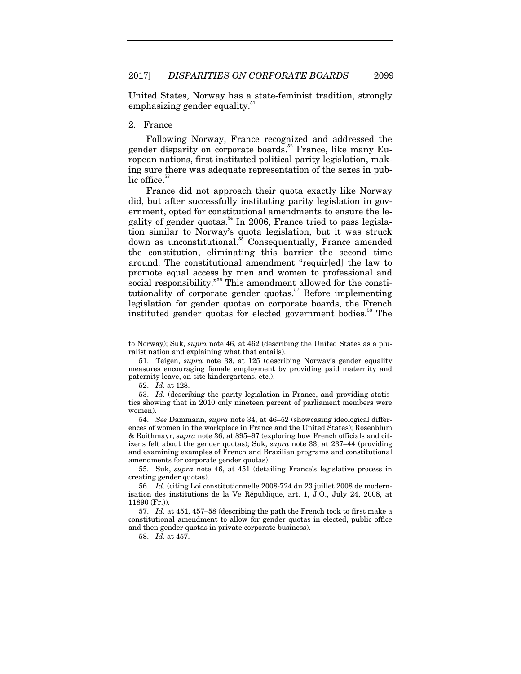United States, Norway has a state-feminist tradition, strongly emphasizing gender equality.<sup>51</sup>

#### 2. France

Following Norway, France recognized and addressed the gender disparity on corporate boards.<sup>52</sup> France, like many European nations, first instituted political parity legislation, making sure there was adequate representation of the sexes in public office.<sup>5</sup>

France did not approach their quota exactly like Norway did, but after successfully instituting parity legislation in government, opted for constitutional amendments to ensure the legality of gender quotas.<sup>54</sup> In 2006, France tried to pass legislation similar to Norway's quota legislation, but it was struck down as unconstitutional.<sup>55</sup> Consequentially, France amended the constitution, eliminating this barrier the second time around. The constitutional amendment "requir[ed] the law to promote equal access by men and women to professional and social responsibility."<sup>56</sup> This amendment allowed for the constitutionality of corporate gender quotas. $57$  Before implementing legislation for gender quotas on corporate boards, the French instituted gender quotas for elected government bodies.<sup>58</sup> The

52. *Id.* at 128.

 55. Suk, *supra* note 46, at 451 (detailing France's legislative process in creating gender quotas).

58. *Id.* at 457.

to Norway); Suk, *supra* note 46, at 462 (describing the United States as a pluralist nation and explaining what that entails).

 <sup>51.</sup> Teigen, *supra* note 38, at 125 (describing Norway's gender equality measures encouraging female employment by providing paid maternity and paternity leave, on-site kindergartens, etc.).

<sup>53.</sup> *Id.* (describing the parity legislation in France, and providing statistics showing that in 2010 only nineteen percent of parliament members were women).

<sup>54.</sup> *See* Dammann, *supra* note 34, at 46–52 (showcasing ideological differences of women in the workplace in France and the United States); Rosenblum & Roithmayr, *supra* note 36, at 895–97 (exploring how French officials and citizens felt about the gender quotas); Suk, *supra* note 33, at 237–44 (providing and examining examples of French and Brazilian programs and constitutional amendments for corporate gender quotas).

<sup>56.</sup> *Id.* (citing Loi constitutionnelle 2008-724 du 23 juillet 2008 de modernisation des institutions de la Ve République, art. 1, J.O., July 24, 2008, at 11890 (Fr.)).

<sup>57.</sup> *Id.* at 451, 457–58 (describing the path the French took to first make a constitutional amendment to allow for gender quotas in elected, public office and then gender quotas in private corporate business).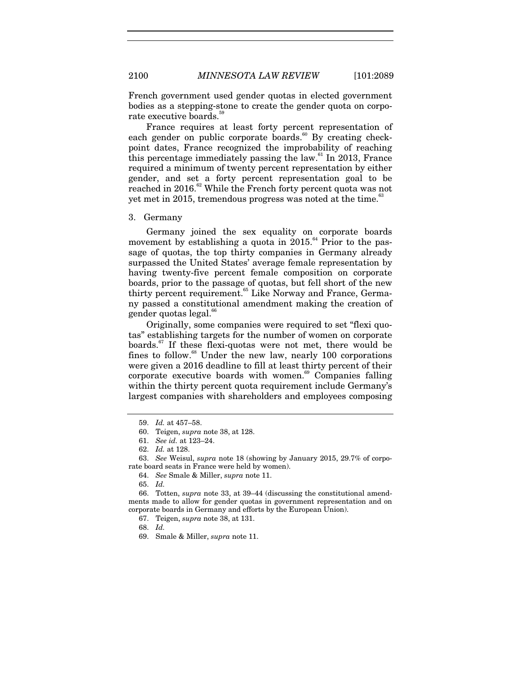French government used gender quotas in elected government bodies as a stepping-stone to create the gender quota on corporate executive boards.<sup>5</sup>

France requires at least forty percent representation of each gender on public corporate boards.<sup>60</sup> By creating checkpoint dates, France recognized the improbability of reaching this percentage immediately passing the law. $61$  In 2013, France required a minimum of twenty percent representation by either gender, and set a forty percent representation goal to be reached in 2016.<sup>62</sup> While the French forty percent quota was not yet met in 2015, tremendous progress was noted at the time. $63$ 

#### 3. Germany

Germany joined the sex equality on corporate boards movement by establishing a quota in  $2015$ .<sup>64</sup> Prior to the passage of quotas, the top thirty companies in Germany already surpassed the United States' average female representation by having twenty-five percent female composition on corporate boards, prior to the passage of quotas, but fell short of the new thirty percent requirement.<sup>65</sup> Like Norway and France, Germany passed a constitutional amendment making the creation of gender quotas legal.<sup>66</sup>

Originally, some companies were required to set "flexi quotas" establishing targets for the number of women on corporate boards.<sup>67</sup> If these flexi-quotas were not met, there would be fines to follow.<sup>68</sup> Under the new law, nearly 100 corporations were given a 2016 deadline to fill at least thirty percent of their  $corporte$  executive boards with women. $69$  Companies falling within the thirty percent quota requirement include Germany's largest companies with shareholders and employees composing

<sup>59.</sup> *Id.* at 457–58.

 <sup>60.</sup> Teigen, *supra* note 38, at 128.

<sup>61.</sup> *See id.* at 123–24.

<sup>62.</sup> *Id.* at 128.

<sup>63.</sup> *See* Weisul, *supra* note 18 (showing by January 2015, 29.7% of corporate board seats in France were held by women).

<sup>64.</sup> *See* Smale & Miller, *supra* note 11.

<sup>65.</sup> *Id.*

 <sup>66.</sup> Totten, *supra* note 33, at 39–44 (discussing the constitutional amendments made to allow for gender quotas in government representation and on corporate boards in Germany and efforts by the European Union).

 <sup>67.</sup> Teigen, *supra* note 38, at 131.

<sup>68.</sup> *Id.*

 <sup>69.</sup> Smale & Miller, *supra* note 11.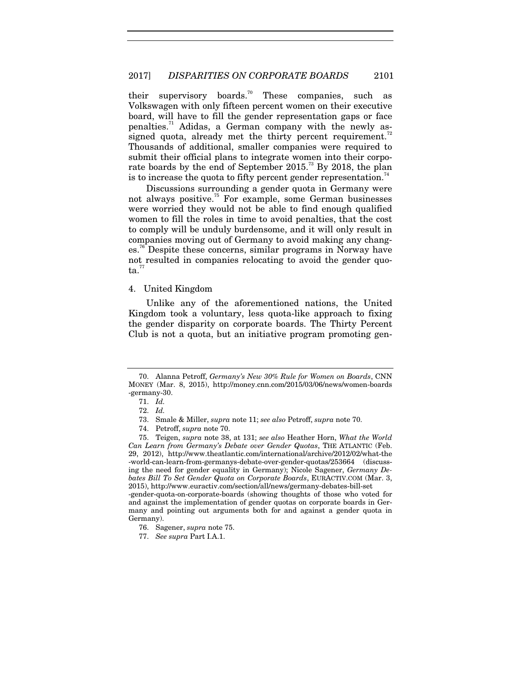their supervisory boards.<sup>70</sup> These companies, such as Volkswagen with only fifteen percent women on their executive board, will have to fill the gender representation gaps or face penalties.<sup>71</sup> Adidas, a German company with the newly assigned quota, already met the thirty percent requirement.<sup>72</sup> Thousands of additional, smaller companies were required to submit their official plans to integrate women into their corporate boards by the end of September  $2015.^{^{73}}$  By 2018, the plan is to increase the quota to fifty percent gender representation.<sup>7</sup>

Discussions surrounding a gender quota in Germany were not always positive.<sup>75</sup> For example, some German businesses were worried they would not be able to find enough qualified women to fill the roles in time to avoid penalties, that the cost to comply will be unduly burdensome, and it will only result in companies moving out of Germany to avoid making any changes.76 Despite these concerns, similar programs in Norway have not resulted in companies relocating to avoid the gender quo $ta.<sup>77</sup>$ 

#### 4. United Kingdom

Unlike any of the aforementioned nations, the United Kingdom took a voluntary, less quota-like approach to fixing the gender disparity on corporate boards. The Thirty Percent Club is not a quota, but an initiative program promoting gen-

 <sup>70.</sup> Alanna Petroff, *Germany's New 30% Rule for Women on Boards*, CNN MONEY (Mar. 8, 2015), http://money.cnn.com/2015/03/06/news/women-boards -germany-30.

<sup>71.</sup> *Id.*

<sup>72.</sup> *Id.*

 <sup>73.</sup> Smale & Miller, *supra* note 11; *see also* Petroff, *supra* note 70.

 <sup>74.</sup> Petroff, *supra* note 70.

 <sup>75.</sup> Teigen, *supra* note 38, at 131; *see also* Heather Horn, *What the World Can Learn from Germany's Debate over Gender Quotas*, THE ATLANTIC (Feb. 29, 2012), http://www.theatlantic.com/international/archive/2012/02/what-the -world-can-learn-from-germanys-debate-over-gender-quotas/253664 (discussing the need for gender equality in Germany); Nicole Sagener, *Germany Debates Bill To Set Gender Quota on Corporate Boards*, EURACTIV.COM (Mar. 3, 2015), http://www.euractiv.com/section/all/news/germany-debates-bill-set -gender-quota-on-corporate-boards (showing thoughts of those who voted for and against the implementation of gender quotas on corporate boards in Germany and pointing out arguments both for and against a gender quota in Germany).

 <sup>76.</sup> Sagener, *supra* note 75.

<sup>77.</sup> *See supra* Part I.A.1.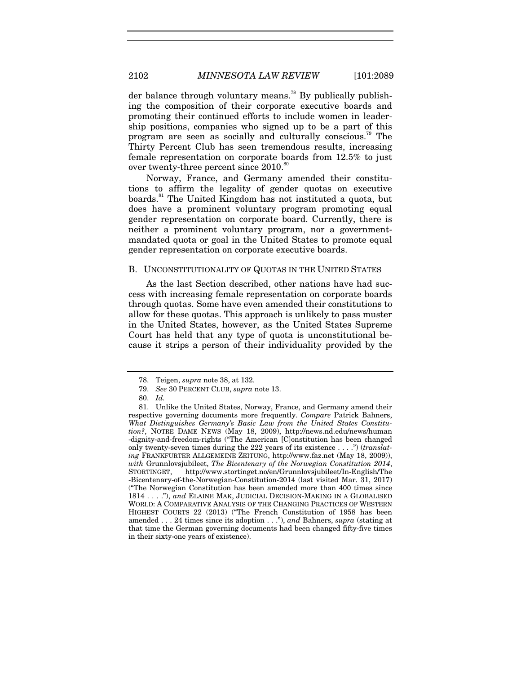der balance through voluntary means.<sup>78</sup> By publically publishing the composition of their corporate executive boards and promoting their continued efforts to include women in leadership positions, companies who signed up to be a part of this program are seen as socially and culturally conscious.<sup>79</sup> The Thirty Percent Club has seen tremendous results, increasing female representation on corporate boards from 12.5% to just over twenty-three percent since  $2010$ .<sup>80</sup>

Norway, France, and Germany amended their constitutions to affirm the legality of gender quotas on executive boards.<sup>81</sup> The United Kingdom has not instituted a quota, but does have a prominent voluntary program promoting equal gender representation on corporate board. Currently, there is neither a prominent voluntary program, nor a governmentmandated quota or goal in the United States to promote equal gender representation on corporate executive boards.

#### B. UNCONSTITUTIONALITY OF QUOTAS IN THE UNITED STATES

As the last Section described, other nations have had success with increasing female representation on corporate boards through quotas. Some have even amended their constitutions to allow for these quotas. This approach is unlikely to pass muster in the United States, however, as the United States Supreme Court has held that any type of quota is unconstitutional because it strips a person of their individuality provided by the

 <sup>78.</sup> Teigen, *supra* note 38, at 132.

<sup>79.</sup> *See* 30 PERCENT CLUB, *supra* note 13.

<sup>80.</sup> *Id.*

 <sup>81.</sup> Unlike the United States, Norway, France, and Germany amend their respective governing documents more frequently. *Compare* Patrick Bahners, *What Distinguishes Germany's Basic Law from the United States Constitution?*, NOTRE DAME NEWS (May 18, 2009), http://news.nd.edu/news/human -dignity-and-freedom-rights ("The American [C]onstitution has been changed only twenty-seven times during the 222 years of its existence . . . .") (*translating* FRANKFURTER ALLGEMEINE ZEITUNG, http://www.faz.net (May 18, 2009)), *with* Grunnlovsjubileet, *The Bicentenary of the Norwegian Constitution 2014*, STORTINGET, http://www.stortinget.no/en/Grunnlovsjubileet/In-English/The -Bicentenary-of-the-Norwegian-Constitution-2014 (last visited Mar. 31, 2017) ("The Norwegian Constitution has been amended more than 400 times since 1814 . . . ."), *and* ELAINE MAK, JUDICIAL DECISION-MAKING IN A GLOBALISED WORLD: A COMPARATIVE ANALYSIS OF THE CHANGING PRACTICES OF WESTERN HIGHEST COURTS 22 (2013) ("The French Constitution of 1958 has been amended . . . 24 times since its adoption . . ."), *and* Bahners, *supra* (stating at that time the German governing documents had been changed fifty-five times in their sixty-one years of existence).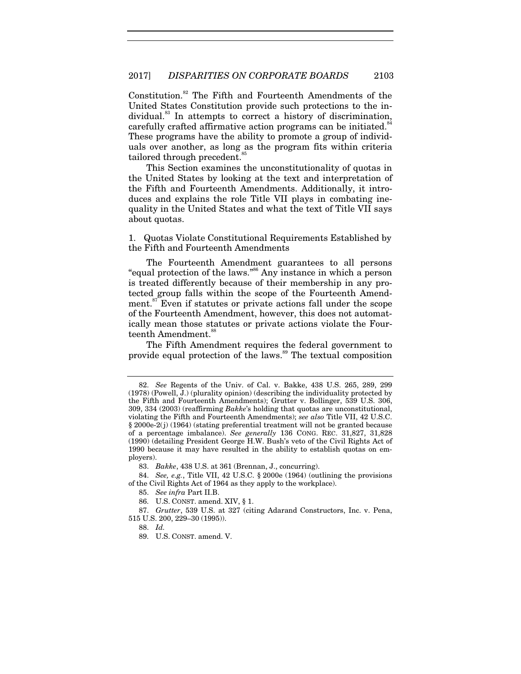Constitution.<sup>82</sup> The Fifth and Fourteenth Amendments of the United States Constitution provide such protections to the individual.<sup>83</sup> In attempts to correct a history of discrimination, carefully crafted affirmative action programs can be initiated.<sup>8</sup> These programs have the ability to promote a group of individuals over another, as long as the program fits within criteria tailored through precedent.<sup>8</sup>

This Section examines the unconstitutionality of quotas in the United States by looking at the text and interpretation of the Fifth and Fourteenth Amendments. Additionally, it introduces and explains the role Title VII plays in combating inequality in the United States and what the text of Title VII says about quotas.

1. Quotas Violate Constitutional Requirements Established by the Fifth and Fourteenth Amendments

The Fourteenth Amendment guarantees to all persons "equal protection of the laws."86 Any instance in which a person is treated differently because of their membership in any protected group falls within the scope of the Fourteenth Amendment.<sup>87</sup> Even if statutes or private actions fall under the scope of the Fourteenth Amendment, however, this does not automatically mean those statutes or private actions violate the Fourteenth Amendment.<sup>88</sup>

The Fifth Amendment requires the federal government to provide equal protection of the laws.<sup>89</sup> The textual composition

<sup>82.</sup> *See* Regents of the Univ. of Cal. v. Bakke, 438 U.S. 265, 289, 299 (1978) (Powell, J.) (plurality opinion) (describing the individuality protected by the Fifth and Fourteenth Amendments); Grutter v. Bollinger, 539 U.S. 306, 309, 334 (2003) (reaffirming *Bakke*'s holding that quotas are unconstitutional, violating the Fifth and Fourteenth Amendments); *see also* Title VII, 42 U.S.C. § 2000e-2(j) (1964) (stating preferential treatment will not be granted because of a percentage imbalance). *See generally* 136 CONG. REC. 31,827, 31,828 (1990) (detailing President George H.W. Bush's veto of the Civil Rights Act of 1990 because it may have resulted in the ability to establish quotas on employers).

<sup>83.</sup> *Bakke*, 438 U.S. at 361 (Brennan, J., concurring).

<sup>84.</sup> *See, e.g.*, Title VII, 42 U.S.C. § 2000e (1964) (outlining the provisions of the Civil Rights Act of 1964 as they apply to the workplace).

<sup>85.</sup> *See infra* Part II.B.

 <sup>86.</sup> U.S. CONST. amend. XIV, § 1.

<sup>87.</sup> *Grutter*, 539 U.S. at 327 (citing Adarand Constructors, Inc. v. Pena, 515 U.S. 200, 229–30 (1995)).

<sup>88.</sup> *Id.*

 <sup>89.</sup> U.S. CONST. amend. V.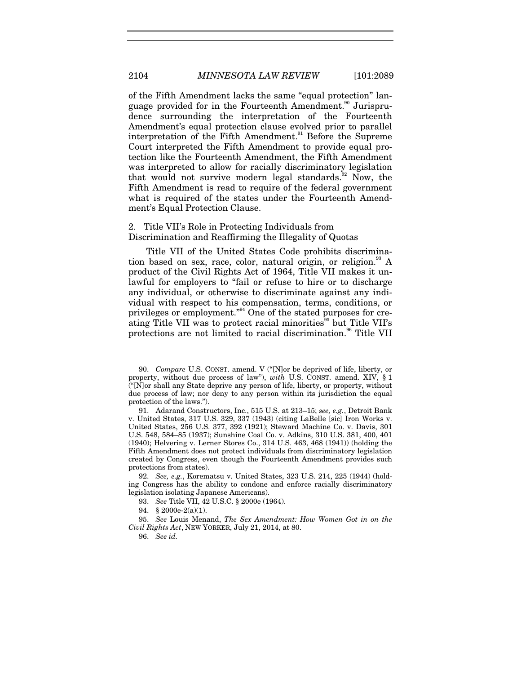of the Fifth Amendment lacks the same "equal protection" language provided for in the Fourteenth Amendment.<sup>90</sup> Jurisprudence surrounding the interpretation of the Fourteenth Amendment's equal protection clause evolved prior to parallel interpretation of the Fifth Amendment.<sup>91</sup> Before the Supreme Court interpreted the Fifth Amendment to provide equal protection like the Fourteenth Amendment, the Fifth Amendment was interpreted to allow for racially discriminatory legislation that would not survive modern legal standards.<sup>92</sup> Now, the Fifth Amendment is read to require of the federal government what is required of the states under the Fourteenth Amendment's Equal Protection Clause.

# 2. Title VII's Role in Protecting Individuals from Discrimination and Reaffirming the Illegality of Quotas

Title VII of the United States Code prohibits discrimination based on sex, race, color, natural origin, or religion. $^{93}$  A product of the Civil Rights Act of 1964, Title VII makes it unlawful for employers to "fail or refuse to hire or to discharge any individual, or otherwise to discriminate against any individual with respect to his compensation, terms, conditions, or privileges or employment."<sup>94</sup> One of the stated purposes for creating Title VII was to protect racial minorities<sup>35</sup> but Title VII's protections are not limited to racial discrimination.<sup>96</sup> Title VII

<sup>90.</sup> *Compare* U.S. CONST. amend. V ("[N]or be deprived of life, liberty, or property, without due process of law"), *with* U.S. CONST. amend. XIV, § 1 ("[N]or shall any State deprive any person of life, liberty, or property, without due process of law; nor deny to any person within its jurisdiction the equal protection of the laws.").

 <sup>91.</sup> Adarand Constructors, Inc., 515 U.S. at 213–15; *see, e.g.*, Detroit Bank v. United States, 317 U.S. 329, 337 (1943) (citing LaBelle [sic] Iron Works v. United States, 256 U.S. 377, 392 (1921); Steward Machine Co. v. Davis, 301 U.S. 548, 584–85 (1937); Sunshine Coal Co. v. Adkins, 310 U.S. 381, 400, 401 (1940); Helvering v. Lerner Stores Co., 314 U.S. 463, 468 (1941)) (holding the Fifth Amendment does not protect individuals from discriminatory legislation created by Congress, even though the Fourteenth Amendment provides such protections from states).

<sup>92.</sup> *See, e.g.*, Korematsu v. United States, 323 U.S. 214, 225 (1944) (holding Congress has the ability to condone and enforce racially discriminatory legislation isolating Japanese Americans).

<sup>93.</sup> *See* Title VII, 42 U.S.C. § 2000e (1964).

 <sup>94. § 2000</sup>e-2(a)(1).

<sup>95.</sup> *See* Louis Menand, *The Sex Amendment: How Women Got in on the Civil Rights Act*, NEW YORKER, July 21, 2014, at 80.

<sup>96.</sup> *See id.*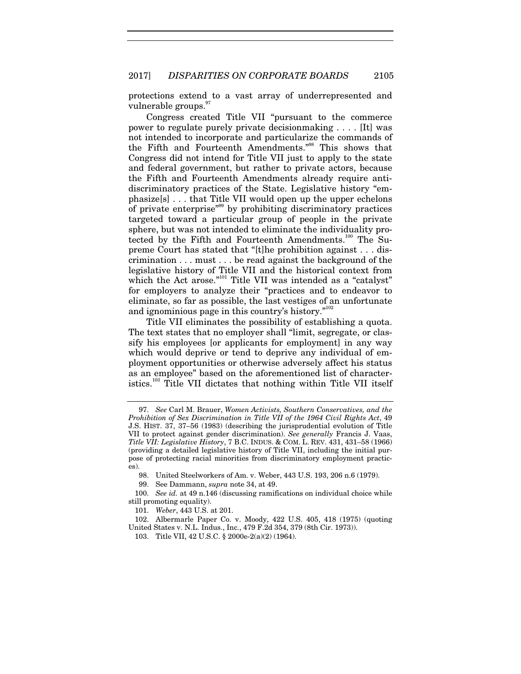protections extend to a vast array of underrepresented and vulnerable groups.

Congress created Title VII "pursuant to the commerce power to regulate purely private decisionmaking . . . . [It] was not intended to incorporate and particularize the commands of the Fifth and Fourteenth Amendments."98 This shows that Congress did not intend for Title VII just to apply to the state and federal government, but rather to private actors, because the Fifth and Fourteenth Amendments already require antidiscriminatory practices of the State. Legislative history "emphasize[s] . . . that Title VII would open up the upper echelons of private enterprise"99 by prohibiting discriminatory practices targeted toward a particular group of people in the private sphere, but was not intended to eliminate the individuality protected by the Fifth and Fourteenth Amendments.<sup>100</sup> The Supreme Court has stated that "[t]he prohibition against . . . discrimination . . . must . . . be read against the background of the legislative history of Title VII and the historical context from which the Act arose."<sup>101</sup> Title VII was intended as a "catalyst" for employers to analyze their "practices and to endeavor to eliminate, so far as possible, the last vestiges of an unfortunate and ignominious page in this country's history."<sup>102</sup>

Title VII eliminates the possibility of establishing a quota. The text states that no employer shall "limit, segregate, or classify his employees for applicants for employment in any way which would deprive or tend to deprive any individual of employment opportunities or otherwise adversely affect his status as an employee" based on the aforementioned list of characteristics.<sup>103</sup> Title VII dictates that nothing within Title VII itself

<sup>97.</sup> *See* Carl M. Brauer, *Women Activists, Southern Conservatives, and the Prohibition of Sex Discrimination in Title VII of the 1964 Civil Rights Act*, 49 J.S. HIST. 37, 37–56 (1983) (describing the jurisprudential evolution of Title VII to protect against gender discrimination). *See generally* Francis J. Vaas, *Title VII: Legislative History*, 7 B.C. INDUS. & COM. L. REV. 431, 431–58 (1966) (providing a detailed legislative history of Title VII, including the initial purpose of protecting racial minorities from discriminatory employment practices).

 <sup>98.</sup> United Steelworkers of Am. v. Weber, 443 U.S. 193, 206 n.6 (1979).

 <sup>99.</sup> See Dammann, *supra* note 34, at 49.

<sup>100.</sup> *See id.* at 49 n.146 (discussing ramifications on individual choice while still promoting equality).

<sup>101.</sup> *Weber*, 443 U.S. at 201.

 <sup>102.</sup> Albermarle Paper Co. v. Moody, 422 U.S. 405, 418 (1975) (quoting United States v. N.L. Indus., Inc., 479 F.2d 354, 379 (8th Cir. 1973)).

 <sup>103.</sup> Title VII, 42 U.S.C. § 2000e-2(a)(2) (1964).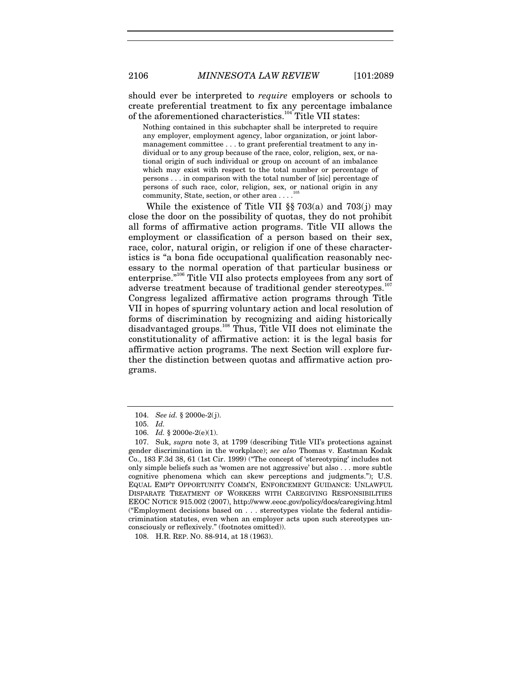should ever be interpreted to *require* employers or schools to create preferential treatment to fix any percentage imbalance of the aforementioned characteristics.<sup>104</sup> Title VII states:

Nothing contained in this subchapter shall be interpreted to require any employer, employment agency, labor organization, or joint labormanagement committee . . . to grant preferential treatment to any individual or to any group because of the race, color, religion, sex, or national origin of such individual or group on account of an imbalance which may exist with respect to the total number or percentage of persons . . . in comparison with the total number of [sic] percentage of persons of such race, color, religion, sex, or national origin in any community, State, section, or other area . . . .

While the existence of Title VII  $\S$  703(a) and 703(j) may close the door on the possibility of quotas, they do not prohibit all forms of affirmative action programs. Title VII allows the employment or classification of a person based on their sex, race, color, natural origin, or religion if one of these characteristics is "a bona fide occupational qualification reasonably necessary to the normal operation of that particular business or enterprise."106 Title VII also protects employees from any sort of adverse treatment because of traditional gender stereotypes.<sup>107</sup> Congress legalized affirmative action programs through Title VII in hopes of spurring voluntary action and local resolution of forms of discrimination by recognizing and aiding historically disadvantaged groups.108 Thus, Title VII does not eliminate the constitutionality of affirmative action: it is the legal basis for affirmative action programs. The next Section will explore further the distinction between quotas and affirmative action programs.

<sup>104.</sup> *See id.* § 2000e-2(j).

 <sup>105.</sup> *Id.*

 <sup>106.</sup> *Id.* § 2000e-2(e)(1).

<sup>107.</sup> Suk, *supra* note 3, at 1799 (describing Title VII's protections against gender discrimination in the workplace); *see also* Thomas v. Eastman Kodak Co., 183 F.3d 38, 61 (1st Cir. 1999) ("The concept of 'stereotyping' includes not only simple beliefs such as 'women are not aggressive' but also . . . more subtle cognitive phenomena which can skew perceptions and judgments."); U.S. EQUAL EMP'T OPPORTUNITY COMM'N, ENFORCEMENT GUIDANCE: UNLAWFUL DISPARATE TREATMENT OF WORKERS WITH CAREGIVING RESPONSIBILITIES EEOC NOTICE 915.002 (2007), http://www.eeoc.gov/policy/docs/caregiving.html ("Employment decisions based on . . . stereotypes violate the federal antidiscrimination statutes, even when an employer acts upon such stereotypes unconsciously or reflexively." (footnotes omitted)).

 <sup>108.</sup> H.R. REP. NO. 88-914, at 18 (1963).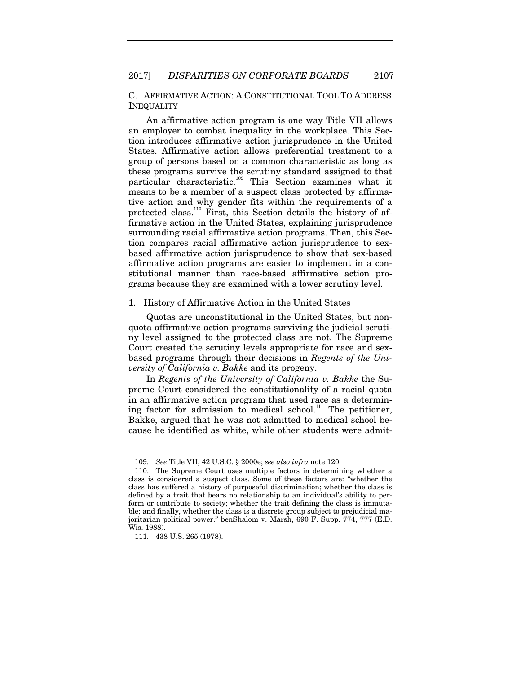C. AFFIRMATIVE ACTION: A CONSTITUTIONAL TOOL TO ADDRESS INEQUALITY

An affirmative action program is one way Title VII allows an employer to combat inequality in the workplace. This Section introduces affirmative action jurisprudence in the United States. Affirmative action allows preferential treatment to a group of persons based on a common characteristic as long as these programs survive the scrutiny standard assigned to that particular characteristic.109 This Section examines what it means to be a member of a suspect class protected by affirmative action and why gender fits within the requirements of a protected class.<sup>110</sup> First, this Section details the history of affirmative action in the United States, explaining jurisprudence surrounding racial affirmative action programs. Then, this Section compares racial affirmative action jurisprudence to sexbased affirmative action jurisprudence to show that sex-based affirmative action programs are easier to implement in a constitutional manner than race-based affirmative action programs because they are examined with a lower scrutiny level.

#### 1. History of Affirmative Action in the United States

Quotas are unconstitutional in the United States, but nonquota affirmative action programs surviving the judicial scrutiny level assigned to the protected class are not. The Supreme Court created the scrutiny levels appropriate for race and sexbased programs through their decisions in *Regents of the University of California v. Bakke* and its progeny.

In *Regents of the University of California v. Bakke* the Supreme Court considered the constitutionality of a racial quota in an affirmative action program that used race as a determining factor for admission to medical school.<sup>111</sup> The petitioner, Bakke, argued that he was not admitted to medical school because he identified as white, while other students were admit-

<sup>109.</sup> *See* Title VII, 42 U.S.C. § 2000e; *see also infra* note 120.

 <sup>110.</sup> The Supreme Court uses multiple factors in determining whether a class is considered a suspect class. Some of these factors are: "whether the class has suffered a history of purposeful discrimination; whether the class is defined by a trait that bears no relationship to an individual's ability to perform or contribute to society; whether the trait defining the class is immutable; and finally, whether the class is a discrete group subject to prejudicial majoritarian political power." benShalom v. Marsh, 690 F. Supp. 774, 777 (E.D. Wis. 1988).

<sup>111. 438</sup> U.S. 265 (1978).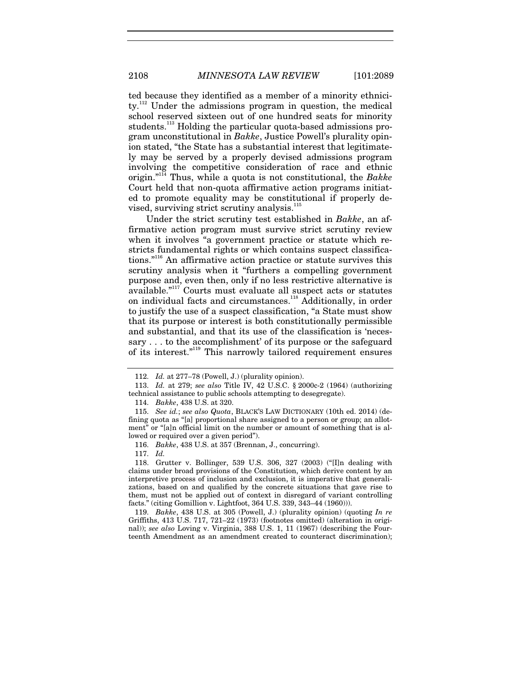ted because they identified as a member of a minority ethnicity.<sup>112</sup> Under the admissions program in question, the medical school reserved sixteen out of one hundred seats for minority students.<sup>113</sup> Holding the particular quota-based admissions program unconstitutional in *Bakke*, Justice Powell's plurality opinion stated, "the State has a substantial interest that legitimately may be served by a properly devised admissions program involving the competitive consideration of race and ethnic origin."114 Thus, while a quota is not constitutional, the *Bakke* Court held that non-quota affirmative action programs initiated to promote equality may be constitutional if properly devised, surviving strict scrutiny analysis.<sup>11</sup>

Under the strict scrutiny test established in *Bakke*, an affirmative action program must survive strict scrutiny review when it involves "a government practice or statute which restricts fundamental rights or which contains suspect classifications."116 An affirmative action practice or statute survives this scrutiny analysis when it "furthers a compelling government purpose and, even then, only if no less restrictive alternative is available."117 Courts must evaluate all suspect acts or statutes on individual facts and circumstances.<sup>118</sup> Additionally, in order to justify the use of a suspect classification, "a State must show that its purpose or interest is both constitutionally permissible and substantial, and that its use of the classification is 'necessary . . . to the accomplishment' of its purpose or the safeguard of its interest."119 This narrowly tailored requirement ensures

117. *Id.*

<sup>112.</sup> *Id.* at 277–78 (Powell, J.) (plurality opinion).

<sup>113.</sup> *Id.* at 279; *see also* Title IV, 42 U.S.C. § 2000c-2 (1964) (authorizing technical assistance to public schools attempting to desegregate).

<sup>114.</sup> *Bakke*, 438 U.S. at 320.

<sup>115.</sup> *See id.*; *see also Quota*, BLACK'S LAW DICTIONARY (10th ed. 2014) (defining quota as "[a] proportional share assigned to a person or group; an allotment" or "[a]n official limit on the number or amount of something that is allowed or required over a given period").

<sup>116.</sup> *Bakke*, 438 U.S. at 357 (Brennan, J., concurring).

 <sup>118.</sup> Grutter v. Bollinger, 539 U.S. 306, 327 (2003) ("[I]n dealing with claims under broad provisions of the Constitution, which derive content by an interpretive process of inclusion and exclusion, it is imperative that generalizations, based on and qualified by the concrete situations that gave rise to them, must not be applied out of context in disregard of variant controlling facts." (citing Gomillion v. Lightfoot, 364 U.S. 339, 343–44 (1960))).

<sup>119.</sup> *Bakke*, 438 U.S. at 305 (Powell, J.) (plurality opinion) (quoting *In re* Griffiths, 413 U.S. 717, 721–22 (1973) (footnotes omitted) (alteration in original)); *see also* Loving v. Virginia, 388 U.S. 1, 11 (1967) (describing the Fourteenth Amendment as an amendment created to counteract discrimination);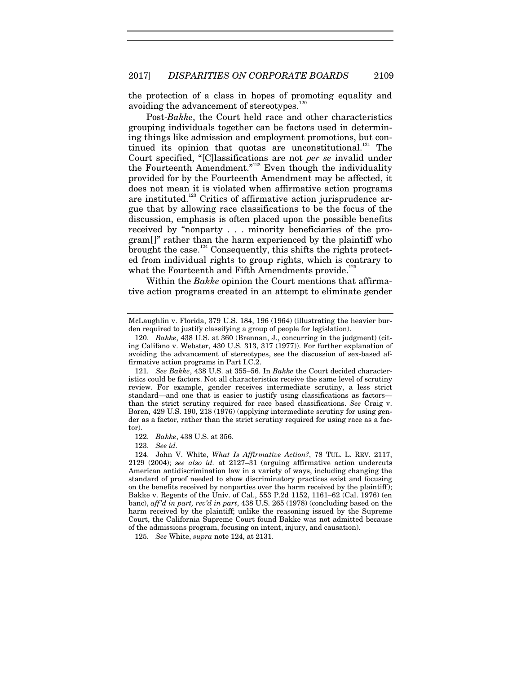the protection of a class in hopes of promoting equality and avoiding the advancement of stereotypes.<sup>12</sup>

Post-*Bakke*, the Court held race and other characteristics grouping individuals together can be factors used in determining things like admission and employment promotions, but continued its opinion that quotas are unconstitutional.<sup>121</sup> The Court specified, "[C]lassifications are not *per se* invalid under the Fourteenth Amendment."<sup>122</sup> Even though the individuality provided for by the Fourteenth Amendment may be affected, it does not mean it is violated when affirmative action programs are instituted.<sup>123</sup> Critics of affirmative action jurisprudence argue that by allowing race classifications to be the focus of the discussion, emphasis is often placed upon the possible benefits received by "nonparty . . . minority beneficiaries of the program[]" rather than the harm experienced by the plaintiff who brought the case.<sup>124</sup> Consequently, this shifts the rights protected from individual rights to group rights, which is contrary to what the Fourteenth and Fifth Amendments provide.<sup>125</sup>

Within the *Bakke* opinion the Court mentions that affirmative action programs created in an attempt to eliminate gender

122. *Bakke*, 438 U.S. at 356.

123. *See id.*

125. *See* White, *supra* note 124, at 2131.

McLaughlin v. Florida, 379 U.S. 184, 196 (1964) (illustrating the heavier burden required to justify classifying a group of people for legislation).

<sup>120.</sup> *Bakke*, 438 U.S. at 360 (Brennan, J., concurring in the judgment) (citing Califano v. Webster, 430 U.S. 313, 317 (1977)). For further explanation of avoiding the advancement of stereotypes, see the discussion of sex-based affirmative action programs in Part I.C.2.

<sup>121.</sup> *See Bakke*, 438 U.S. at 355–56. In *Bakke* the Court decided characteristics could be factors. Not all characteristics receive the same level of scrutiny review. For example, gender receives intermediate scrutiny, a less strict standard—and one that is easier to justify using classifications as factors than the strict scrutiny required for race based classifications. *See* Craig v. Boren, 429 U.S. 190, 218 (1976) (applying intermediate scrutiny for using gender as a factor, rather than the strict scrutiny required for using race as a factor).

 <sup>124.</sup> John V. White, *What Is Affirmative Action?*, 78 TUL. L. REV. 2117, 2129 (2004); *see also id.* at 2127–31 (arguing affirmative action undercuts American antidiscrimination law in a variety of ways, including changing the standard of proof needed to show discriminatory practices exist and focusing on the benefits received by nonparties over the harm received by the plaintiff); Bakke v. Regents of the Univ. of Cal., 553 P.2d 1152, 1161–62 (Cal. 1976) (en banc), *aff'd in part, rev'd in part*, 438 U.S. 265 (1978) (concluding based on the harm received by the plaintiff; unlike the reasoning issued by the Supreme Court, the California Supreme Court found Bakke was not admitted because of the admissions program, focusing on intent, injury, and causation).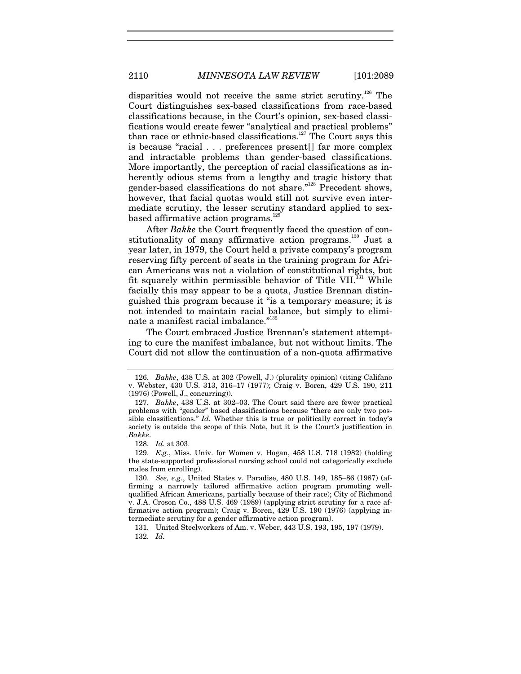disparities would not receive the same strict scrutiny.<sup>126</sup> The Court distinguishes sex-based classifications from race-based classifications because, in the Court's opinion, sex-based classifications would create fewer "analytical and practical problems" than race or ethnic-based classifications.<sup>127</sup> The Court says this is because "racial . . . preferences present[] far more complex and intractable problems than gender-based classifications. More importantly, the perception of racial classifications as inherently odious stems from a lengthy and tragic history that gender-based classifications do not share."128 Precedent shows, however, that facial quotas would still not survive even intermediate scrutiny, the lesser scrutiny standard applied to sexbased affirmative action programs.<sup>12</sup>

After *Bakke* the Court frequently faced the question of constitutionality of many affirmative action programs.<sup>130</sup> Just a year later, in 1979, the Court held a private company's program reserving fifty percent of seats in the training program for African Americans was not a violation of constitutional rights, but fit squarely within permissible behavior of Title VII. $^{131}$  While facially this may appear to be a quota, Justice Brennan distinguished this program because it "is a temporary measure; it is not intended to maintain racial balance, but simply to eliminate a manifest racial imbalance."<sup>132</sup>

The Court embraced Justice Brennan's statement attempting to cure the manifest imbalance, but not without limits. The Court did not allow the continuation of a non-quota affirmative

129. *E.g.*, Miss. Univ. for Women v. Hogan, 458 U.S. 718 (1982) (holding the state-supported professional nursing school could not categorically exclude males from enrolling).

 131. United Steelworkers of Am. v. Weber, 443 U.S. 193, 195, 197 (1979). 132. *Id.*

<sup>126.</sup> *Bakke*, 438 U.S. at 302 (Powell, J.) (plurality opinion) (citing Califano v. Webster, 430 U.S. 313, 316–17 (1977); Craig v. Boren, 429 U.S. 190, 211 (1976) (Powell, J., concurring)).

<sup>127.</sup> *Bakke*, 438 U.S. at 302–03. The Court said there are fewer practical problems with "gender" based classifications because "there are only two possible classifications." *Id.* Whether this is true or politically correct in today's society is outside the scope of this Note, but it is the Court's justification in *Bakke*.

<sup>128.</sup> *Id.* at 303.

<sup>130.</sup> *See, e.g.*, United States v. Paradise, 480 U.S. 149, 185–86 (1987) (affirming a narrowly tailored affirmative action program promoting wellqualified African Americans, partially because of their race); City of Richmond v. J.A. Croson Co., 488 U.S. 469 (1989) (applying strict scrutiny for a race affirmative action program); Craig v. Boren, 429 U.S. 190 (1976) (applying intermediate scrutiny for a gender affirmative action program).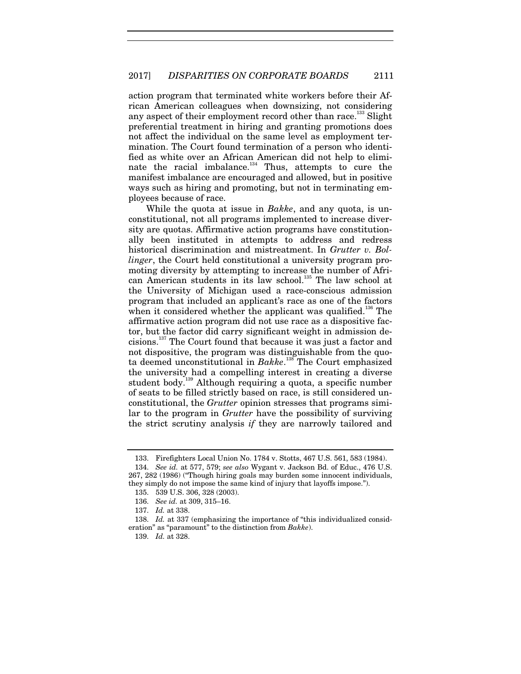action program that terminated white workers before their African American colleagues when downsizing, not considering any aspect of their employment record other than race.<sup>133</sup> Slight preferential treatment in hiring and granting promotions does not affect the individual on the same level as employment termination. The Court found termination of a person who identified as white over an African American did not help to eliminate the racial imbalance. $134$  Thus, attempts to cure the manifest imbalance are encouraged and allowed, but in positive ways such as hiring and promoting, but not in terminating employees because of race.

While the quota at issue in *Bakke*, and any quota, is unconstitutional, not all programs implemented to increase diversity are quotas. Affirmative action programs have constitutionally been instituted in attempts to address and redress historical discrimination and mistreatment. In *Grutter v. Bollinger*, the Court held constitutional a university program promoting diversity by attempting to increase the number of African American students in its law school.<sup>135</sup> The law school at the University of Michigan used a race-conscious admission program that included an applicant's race as one of the factors when it considered whether the applicant was qualified.<sup>136</sup> The affirmative action program did not use race as a dispositive factor, but the factor did carry significant weight in admission decisions.137 The Court found that because it was just a factor and not dispositive, the program was distinguishable from the quota deemed unconstitutional in *Bakke*. 138 The Court emphasized the university had a compelling interest in creating a diverse student body.139 Although requiring a quota, a specific number of seats to be filled strictly based on race, is still considered unconstitutional, the *Grutter* opinion stresses that programs similar to the program in *Grutter* have the possibility of surviving the strict scrutiny analysis *if* they are narrowly tailored and

 <sup>133.</sup> Firefighters Local Union No. 1784 v. Stotts, 467 U.S. 561, 583 (1984).

<sup>134.</sup> *See id.* at 577, 579; *see also* Wygant v. Jackson Bd. of Educ., 476 U.S. 267, 282 (1986) ("Though hiring goals may burden some innocent individuals, they simply do not impose the same kind of injury that layoffs impose.").

 <sup>135. 539</sup> U.S. 306, 328 (2003).

<sup>136.</sup> *See id.* at 309, 315–16.

<sup>137.</sup> *Id.* at 338.

<sup>138.</sup> *Id.* at 337 (emphasizing the importance of "this individualized consideration" as "paramount" to the distinction from *Bakke*).

<sup>139.</sup> *Id.* at 328.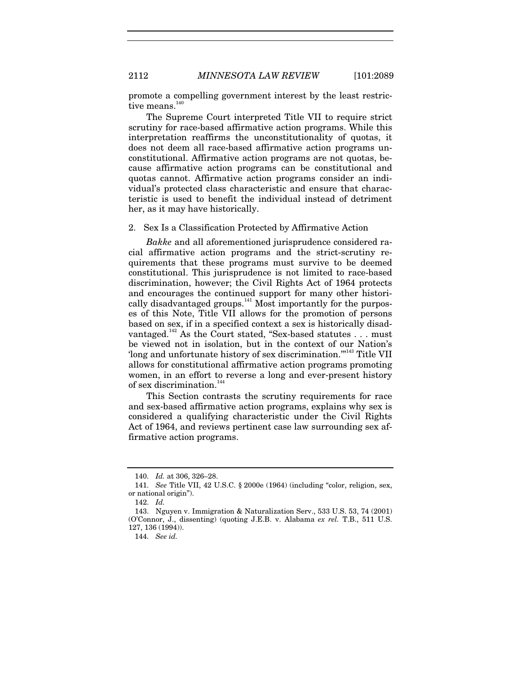promote a compelling government interest by the least restrictive means.<sup>14</sup>

The Supreme Court interpreted Title VII to require strict scrutiny for race-based affirmative action programs. While this interpretation reaffirms the unconstitutionality of quotas, it does not deem all race-based affirmative action programs unconstitutional. Affirmative action programs are not quotas, because affirmative action programs can be constitutional and quotas cannot. Affirmative action programs consider an individual's protected class characteristic and ensure that characteristic is used to benefit the individual instead of detriment her, as it may have historically.

2. Sex Is a Classification Protected by Affirmative Action

*Bakke* and all aforementioned jurisprudence considered racial affirmative action programs and the strict-scrutiny requirements that these programs must survive to be deemed constitutional. This jurisprudence is not limited to race-based discrimination, however; the Civil Rights Act of 1964 protects and encourages the continued support for many other historically disadvantaged groups.<sup>141</sup> Most importantly for the purposes of this Note, Title VII allows for the promotion of persons based on sex, if in a specified context a sex is historically disadvantaged.<sup>142</sup> As the Court stated, "Sex-based statutes . . . must be viewed not in isolation, but in the context of our Nation's 'long and unfortunate history of sex discrimination.'"143 Title VII allows for constitutional affirmative action programs promoting women, in an effort to reverse a long and ever-present history of sex discrimination. $^{144}$ 

This Section contrasts the scrutiny requirements for race and sex-based affirmative action programs, explains why sex is considered a qualifying characteristic under the Civil Rights Act of 1964, and reviews pertinent case law surrounding sex affirmative action programs.

<sup>140.</sup> *Id.* at 306, 326–28.

<sup>141.</sup> *See* Title VII, 42 U.S.C. § 2000e (1964) (including "color, religion, sex, or national origin").

<sup>142.</sup> *Id.*

 <sup>143.</sup> Nguyen v. Immigration & Naturalization Serv., 533 U.S. 53, 74 (2001) (O'Connor, J., dissenting) (quoting J.E.B. v. Alabama *ex rel.* T.B., 511 U.S. 127, 136 (1994)).

<sup>144.</sup> *See id.*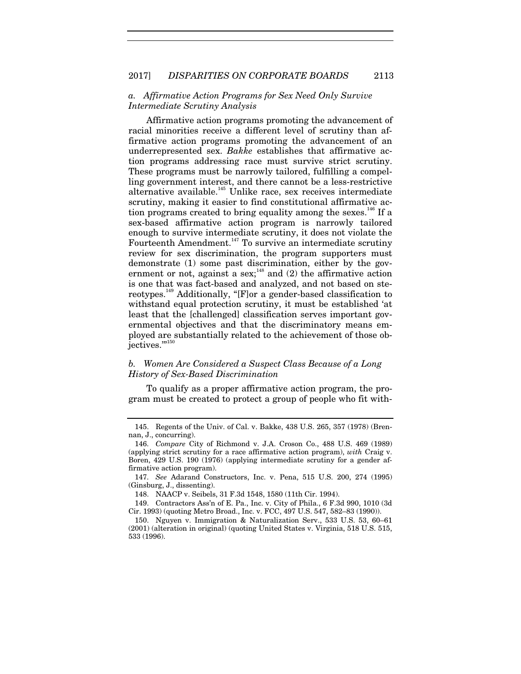# *a. Affirmative Action Programs for Sex Need Only Survive Intermediate Scrutiny Analysis*

Affirmative action programs promoting the advancement of racial minorities receive a different level of scrutiny than affirmative action programs promoting the advancement of an underrepresented sex. *Bakke* establishes that affirmative action programs addressing race must survive strict scrutiny. These programs must be narrowly tailored, fulfilling a compelling government interest, and there cannot be a less-restrictive alternative available.<sup>145</sup> Unlike race, sex receives intermediate scrutiny, making it easier to find constitutional affirmative action programs created to bring equality among the sexes.<sup>146</sup> If a sex-based affirmative action program is narrowly tailored enough to survive intermediate scrutiny, it does not violate the Fourteenth Amendment.<sup>147</sup> To survive an intermediate scrutiny review for sex discrimination, the program supporters must demonstrate (1) some past discrimination, either by the government or not, against a sex;<sup>148</sup> and (2) the affirmative action is one that was fact-based and analyzed, and not based on stereotypes.149 Additionally, "[F]or a gender-based classification to withstand equal protection scrutiny, it must be established 'at least that the [challenged] classification serves important governmental objectives and that the discriminatory means employed are substantially related to the achievement of those objectives."<sup>150</sup>

# *b. Women Are Considered a Suspect Class Because of a Long History of Sex-Based Discrimination*

To qualify as a proper affirmative action program, the program must be created to protect a group of people who fit with-

 <sup>145.</sup> Regents of the Univ. of Cal. v. Bakke, 438 U.S. 265, 357 (1978) (Brennan, J., concurring).

<sup>146.</sup> *Compare* City of Richmond v. J.A. Croson Co., 488 U.S. 469 (1989) (applying strict scrutiny for a race affirmative action program), *with* Craig v. Boren, 429 U.S. 190 (1976) (applying intermediate scrutiny for a gender affirmative action program).

<sup>147.</sup> *See* Adarand Constructors, Inc. v. Pena, 515 U.S. 200, 274 (1995) (Ginsburg, J., dissenting).

 <sup>148.</sup> NAACP v. Seibels, 31 F.3d 1548, 1580 (11th Cir. 1994).

 <sup>149.</sup> Contractors Ass'n of E. Pa., Inc. v. City of Phila., 6 F.3d 990, 1010 (3d Cir. 1993) (quoting Metro Broad., Inc. v. FCC, 497 U.S. 547, 582–83 (1990)).

 <sup>150.</sup> Nguyen v. Immigration & Naturalization Serv., 533 U.S. 53, 60–61 (2001) (alteration in original) (quoting United States v. Virginia, 518 U.S. 515, 533 (1996).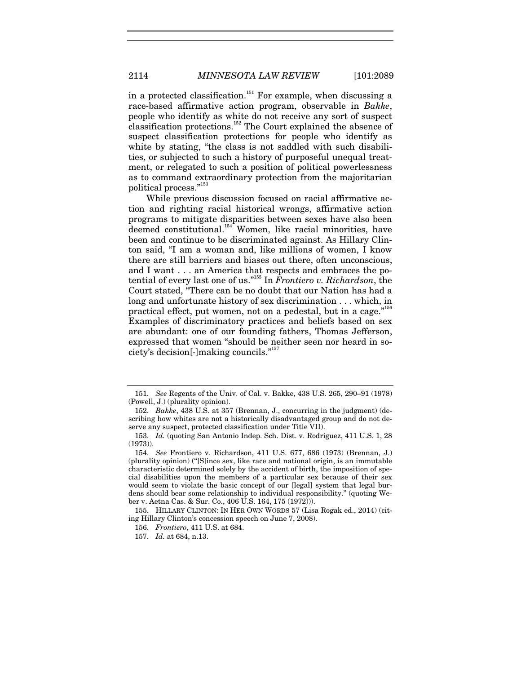in a protected classification.<sup>151</sup> For example, when discussing a race-based affirmative action program, observable in *Bakke*, people who identify as white do not receive any sort of suspect classification protections.152 The Court explained the absence of suspect classification protections for people who identify as white by stating, "the class is not saddled with such disabilities, or subjected to such a history of purposeful unequal treatment, or relegated to such a position of political powerlessness as to command extraordinary protection from the majoritarian political process."153

While previous discussion focused on racial affirmative action and righting racial historical wrongs, affirmative action programs to mitigate disparities between sexes have also been deemed constitutional.<sup>154</sup> Women, like racial minorities, have been and continue to be discriminated against. As Hillary Clinton said, "I am a woman and, like millions of women, I know there are still barriers and biases out there, often unconscious, and I want . . . an America that respects and embraces the potential of every last one of us."155 In *Frontiero v. Richardson*, the Court stated, "There can be no doubt that our Nation has had a long and unfortunate history of sex discrimination . . . which, in practical effect, put women, not on a pedestal, but in a cage."156 Examples of discriminatory practices and beliefs based on sex are abundant: one of our founding fathers, Thomas Jefferson, expressed that women "should be neither seen nor heard in society's decision[-]making councils."157

<sup>151.</sup> *See* Regents of the Univ. of Cal. v. Bakke, 438 U.S. 265, 290–91 (1978) (Powell, J.) (plurality opinion).

<sup>152.</sup> *Bakke*, 438 U.S. at 357 (Brennan, J., concurring in the judgment) (describing how whites are not a historically disadvantaged group and do not deserve any suspect, protected classification under Title VII).

<sup>153.</sup> *Id.* (quoting San Antonio Indep. Sch. Dist. v. Rodriguez, 411 U.S. 1, 28 (1973)).

<sup>154.</sup> *See* Frontiero v. Richardson, 411 U.S. 677, 686 (1973) (Brennan, J.) (plurality opinion) ("[S]ince sex, like race and national origin, is an immutable characteristic determined solely by the accident of birth, the imposition of special disabilities upon the members of a particular sex because of their sex would seem to violate the basic concept of our [legal] system that legal burdens should bear some relationship to individual responsibility." (quoting Weber v. Aetna Cas. & Sur. Co., 406 U.S. 164, 175 (1972))).

 <sup>155.</sup> HILLARY CLINTON: IN HER OWN WORDS 57 (Lisa Rogak ed., 2014) (citing Hillary Clinton's concession speech on June 7, 2008).

<sup>156.</sup> *Frontiero*, 411 U.S. at 684.

<sup>157.</sup> *Id.* at 684, n.13.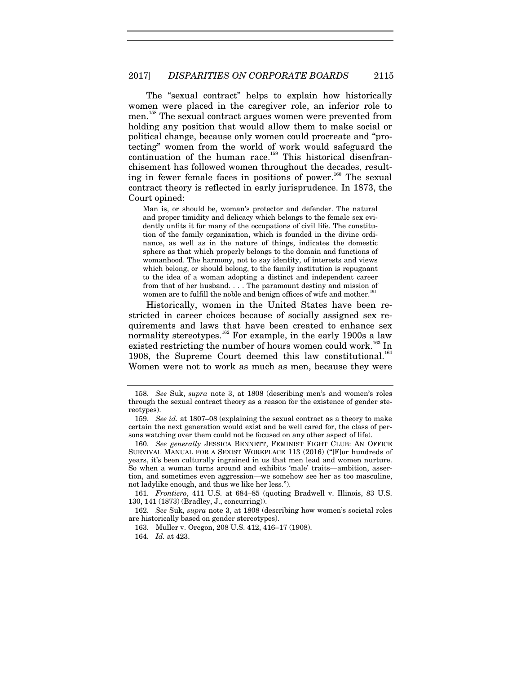The "sexual contract" helps to explain how historically women were placed in the caregiver role, an inferior role to men.158 The sexual contract argues women were prevented from holding any position that would allow them to make social or political change, because only women could procreate and "protecting" women from the world of work would safeguard the continuation of the human race.<sup>159</sup> This historical disenfranchisement has followed women throughout the decades, resulting in fewer female faces in positions of power.<sup>160</sup> The sexual contract theory is reflected in early jurisprudence. In 1873, the Court opined:

Man is, or should be, woman's protector and defender. The natural and proper timidity and delicacy which belongs to the female sex evidently unfits it for many of the occupations of civil life. The constitution of the family organization, which is founded in the divine ordinance, as well as in the nature of things, indicates the domestic sphere as that which properly belongs to the domain and functions of womanhood. The harmony, not to say identity, of interests and views which belong, or should belong, to the family institution is repugnant to the idea of a woman adopting a distinct and independent career from that of her husband. . . . The paramount destiny and mission of women are to fulfill the noble and benign offices of wife and mother.<sup>161</sup>

Historically, women in the United States have been restricted in career choices because of socially assigned sex requirements and laws that have been created to enhance sex normality stereotypes.<sup>162</sup> For example, in the early 1900s a law existed restricting the number of hours women could work.<sup>163</sup> In 1908, the Supreme Court deemed this law constitutional.<sup>164</sup> Women were not to work as much as men, because they were

<sup>158.</sup> *See* Suk, *supra* note 3, at 1808 (describing men's and women's roles through the sexual contract theory as a reason for the existence of gender stereotypes).

<sup>159.</sup> *See id.* at 1807–08 (explaining the sexual contract as a theory to make certain the next generation would exist and be well cared for, the class of persons watching over them could not be focused on any other aspect of life).

<sup>160.</sup> *See generally* JESSICA BENNETT, FEMINIST FIGHT CLUB: AN OFFICE SURVIVAL MANUAL FOR A SEXIST WORKPLACE 113 (2016) ("[F]or hundreds of years, it's been culturally ingrained in us that men lead and women nurture. So when a woman turns around and exhibits 'male' traits—ambition, assertion, and sometimes even aggression—we somehow see her as too masculine, not ladylike enough, and thus we like her less.").

<sup>161.</sup> *Frontiero*, 411 U.S. at 684–85 (quoting Bradwell v. Illinois, 83 U.S. 130, 141 (1873) (Bradley, J., concurring)).

<sup>162.</sup> *See* Suk, *supra* note 3, at 1808 (describing how women's societal roles are historically based on gender stereotypes).

 <sup>163.</sup> Muller v. Oregon, 208 U.S. 412, 416–17 (1908).

<sup>164.</sup> *Id.* at 423.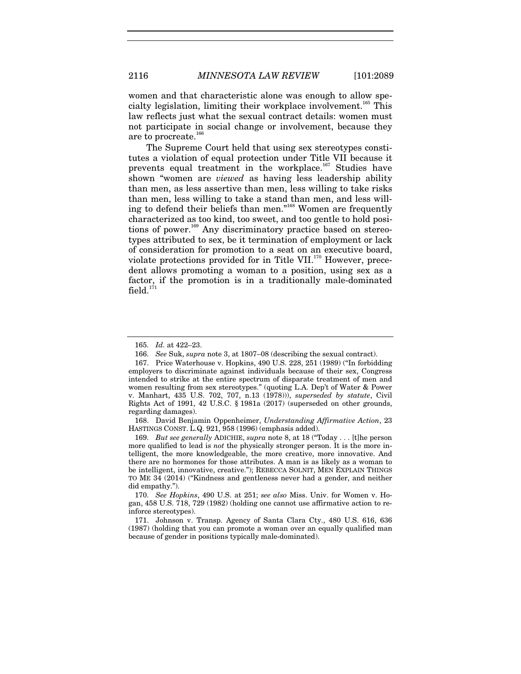women and that characteristic alone was enough to allow specialty legislation, limiting their workplace involvement.<sup>165</sup> This law reflects just what the sexual contract details: women must not participate in social change or involvement, because they

The Supreme Court held that using sex stereotypes constitutes a violation of equal protection under Title VII because it prevents equal treatment in the workplace.<sup>167</sup> Studies have shown "women are *viewed* as having less leadership ability than men, as less assertive than men, less willing to take risks than men, less willing to take a stand than men, and less willing to defend their beliefs than men."168 Women are frequently characterized as too kind, too sweet, and too gentle to hold positions of power.<sup>169</sup> Any discriminatory practice based on stereotypes attributed to sex, be it termination of employment or lack of consideration for promotion to a seat on an executive board, violate protections provided for in Title VII.<sup>170</sup> However, precedent allows promoting a woman to a position, using sex as a factor, if the promotion is in a traditionally male-dominated  $field.<sup>171</sup>$ 

 168. David Benjamin Oppenheimer, *Understanding Affirmative Action*, 23 HASTINGS CONST. L.Q. 921, 958 (1996) (emphasis added).

169. *But see generally* ADICHIE, *supra* note 8, at 18 ("Today . . . [t]he person more qualified to lead is *not* the physically stronger person. It is the more intelligent, the more knowledgeable, the more creative, more innovative. And there are no hormones for those attributes. A man is as likely as a woman to be intelligent, innovative, creative."); REBECCA SOLNIT, MEN EXPLAIN THINGS TO ME 34 (2014) ("Kindness and gentleness never had a gender, and neither did empathy.").

170. *See Hopkins*, 490 U.S. at 251; *see also* Miss. Univ. for Women v. Hogan, 458 U.S. 718, 729 (1982) (holding one cannot use affirmative action to reinforce stereotypes).

 171. Johnson v. Transp. Agency of Santa Clara Cty., 480 U.S. 616, 636 (1987) (holding that you can promote a woman over an equally qualified man because of gender in positions typically male-dominated).

are to procreate.<sup>166</sup>

<sup>165.</sup> *Id.* at 422–23.

<sup>166.</sup> *See* Suk, *supra* note 3, at 1807–08 (describing the sexual contract).

 <sup>167.</sup> Price Waterhouse v. Hopkins, 490 U.S. 228, 251 (1989) ("In forbidding employers to discriminate against individuals because of their sex, Congress intended to strike at the entire spectrum of disparate treatment of men and women resulting from sex stereotypes." (quoting L.A. Dep't of Water & Power v. Manhart, 435 U.S. 702, 707, n.13 (1978))), *superseded by statute*, Civil Rights Act of 1991, 42 U.S.C. § 1981a (2017) (superseded on other grounds, regarding damages).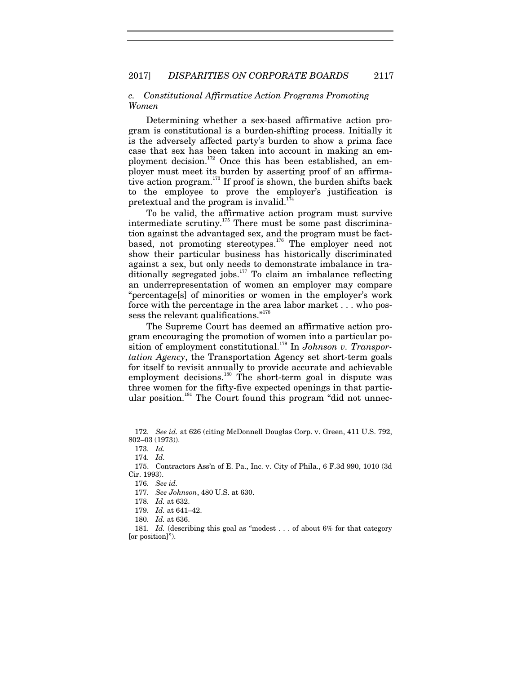# *c. Constitutional Affirmative Action Programs Promoting Women*

Determining whether a sex-based affirmative action program is constitutional is a burden-shifting process. Initially it is the adversely affected party's burden to show a prima face case that sex has been taken into account in making an employment decision.<sup>172</sup> Once this has been established, an employer must meet its burden by asserting proof of an affirmative action program.<sup>173</sup> If proof is shown, the burden shifts back to the employee to prove the employer's justification is pretextual and the program is invalid.<sup>174</sup>

To be valid, the affirmative action program must survive intermediate scrutiny.175 There must be some past discrimination against the advantaged sex, and the program must be factbased, not promoting stereotypes.176 The employer need not show their particular business has historically discriminated against a sex, but only needs to demonstrate imbalance in traditionally segregated jobs. $177$  To claim an imbalance reflecting an underrepresentation of women an employer may compare "percentage[s] of minorities or women in the employer's work force with the percentage in the area labor market . . . who possess the relevant qualifications."<sup>178</sup>

The Supreme Court has deemed an affirmative action program encouraging the promotion of women into a particular position of employment constitutional.<sup>179</sup> In *Johnson v. Transportation Agency*, the Transportation Agency set short-term goals for itself to revisit annually to provide accurate and achievable employment decisions.<sup>180</sup> The short-term goal in dispute was three women for the fifty-five expected openings in that particular position.<sup>181</sup> The Court found this program "did not unnec-

<sup>172.</sup> *See id.* at 626 (citing McDonnell Douglas Corp. v. Green, 411 U.S. 792, 802–03 (1973)).

<sup>173.</sup> *Id.*

<sup>174.</sup> *Id.*

 <sup>175.</sup> Contractors Ass'n of E. Pa., Inc. v. City of Phila., 6 F.3d 990, 1010 (3d Cir. 1993).

<sup>176.</sup> *See id.*

<sup>177.</sup> *See Johnson*, 480 U.S. at 630.

<sup>178.</sup> *Id.* at 632.

<sup>179.</sup> *Id.* at 641–42.

<sup>180.</sup> *Id.* at 636.

<sup>181.</sup> *Id.* (describing this goal as "modest . . . of about 6% for that category [or position]").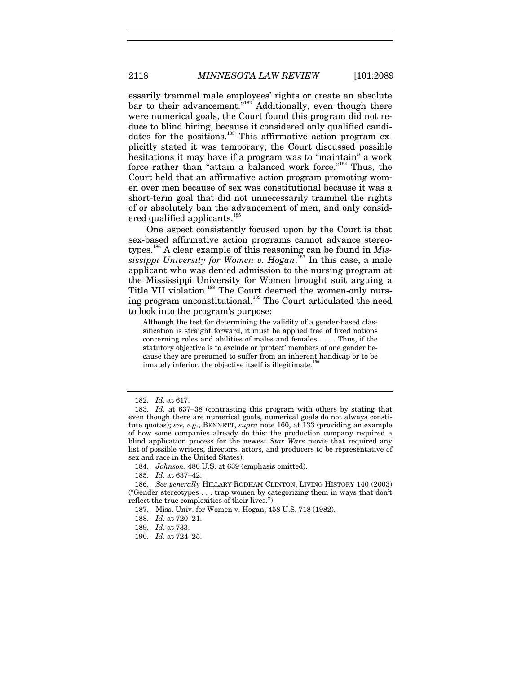essarily trammel male employees' rights or create an absolute bar to their advancement.<sup>"182</sup> Additionally, even though there were numerical goals, the Court found this program did not reduce to blind hiring, because it considered only qualified candidates for the positions.<sup>183</sup> This affirmative action program explicitly stated it was temporary; the Court discussed possible hesitations it may have if a program was to "maintain" a work force rather than "attain a balanced work force."<sup>184</sup> Thus, the Court held that an affirmative action program promoting women over men because of sex was constitutional because it was a short-term goal that did not unnecessarily trammel the rights of or absolutely ban the advancement of men, and only considered qualified applicants.<sup>185</sup>

One aspect consistently focused upon by the Court is that sex-based affirmative action programs cannot advance stereotypes.186 A clear example of this reasoning can be found in *Mississippi University for Women v. Hogan*. 187 In this case, a male applicant who was denied admission to the nursing program at the Mississippi University for Women brought suit arguing a Title VII violation.<sup>188</sup> The Court deemed the women-only nursing program unconstitutional.<sup>189</sup> The Court articulated the need to look into the program's purpose:

Although the test for determining the validity of a gender-based classification is straight forward, it must be applied free of fixed notions concerning roles and abilities of males and females . . . . Thus, if the statutory objective is to exclude or 'protect' members of one gender because they are presumed to suffer from an inherent handicap or to be innately inferior, the objective itself is illegitimate. $1$ <sup>\*</sup>

<sup>182.</sup> *Id.* at 617.

<sup>183.</sup> *Id.* at 637–38 (contrasting this program with others by stating that even though there are numerical goals, numerical goals do not always constitute quotas); *see, e.g.*, BENNETT, *supra* note 160, at 133 (providing an example of how some companies already do this: the production company required a blind application process for the newest *Star Wars* movie that required any list of possible writers, directors, actors, and producers to be representative of sex and race in the United States).

<sup>184.</sup> *Johnson*, 480 U.S. at 639 (emphasis omitted).

<sup>185.</sup> *Id.* at 637–42.

<sup>186.</sup> *See generally* HILLARY RODHAM CLINTON, LIVING HISTORY 140 (2003) ("Gender stereotypes . . . trap women by categorizing them in ways that don't reflect the true complexities of their lives.").

 <sup>187.</sup> Miss. Univ. for Women v. Hogan, 458 U.S. 718 (1982).

<sup>188.</sup> *Id.* at 720–21.

<sup>189.</sup> *Id.* at 733.

<sup>190.</sup> *Id.* at 724–25.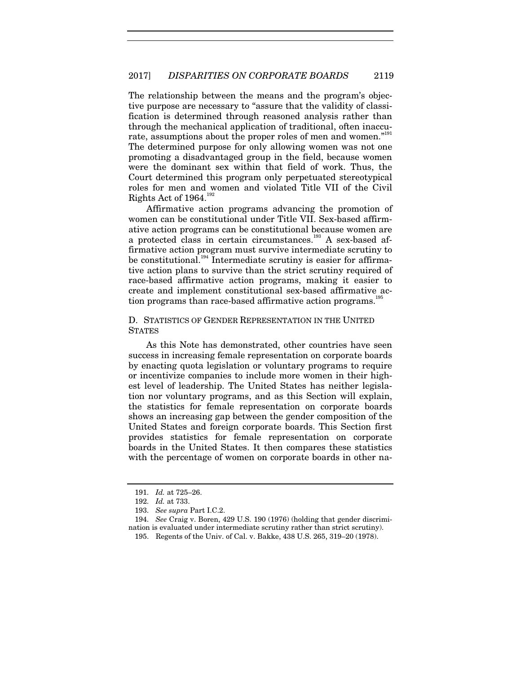The relationship between the means and the program's objective purpose are necessary to "assure that the validity of classification is determined through reasoned analysis rather than through the mechanical application of traditional, often inaccurate, assumptions about the proper roles of men and women."<sup>191</sup> The determined purpose for only allowing women was not one promoting a disadvantaged group in the field, because women were the dominant sex within that field of work. Thus, the Court determined this program only perpetuated stereotypical roles for men and women and violated Title VII of the Civil Rights Act of 1964.<sup>192</sup>

Affirmative action programs advancing the promotion of women can be constitutional under Title VII. Sex-based affirmative action programs can be constitutional because women are a protected class in certain circumstances.<sup>193</sup> A sex-based affirmative action program must survive intermediate scrutiny to be constitutional.<sup>194</sup> Intermediate scrutiny is easier for affirmative action plans to survive than the strict scrutiny required of race-based affirmative action programs, making it easier to create and implement constitutional sex-based affirmative action programs than race-based affirmative action programs.<sup>195</sup>

# D. STATISTICS OF GENDER REPRESENTATION IN THE UNITED **STATES**

As this Note has demonstrated, other countries have seen success in increasing female representation on corporate boards by enacting quota legislation or voluntary programs to require or incentivize companies to include more women in their highest level of leadership. The United States has neither legislation nor voluntary programs, and as this Section will explain, the statistics for female representation on corporate boards shows an increasing gap between the gender composition of the United States and foreign corporate boards. This Section first provides statistics for female representation on corporate boards in the United States. It then compares these statistics with the percentage of women on corporate boards in other na-

<sup>191.</sup> *Id.* at 725–26.

<sup>192.</sup> *Id.* at 733.

<sup>193.</sup> *See supra* Part I.C.2.

<sup>194.</sup> *See* Craig v. Boren, 429 U.S. 190 (1976) (holding that gender discrimination is evaluated under intermediate scrutiny rather than strict scrutiny).

 <sup>195.</sup> Regents of the Univ. of Cal. v. Bakke, 438 U.S. 265, 319–20 (1978).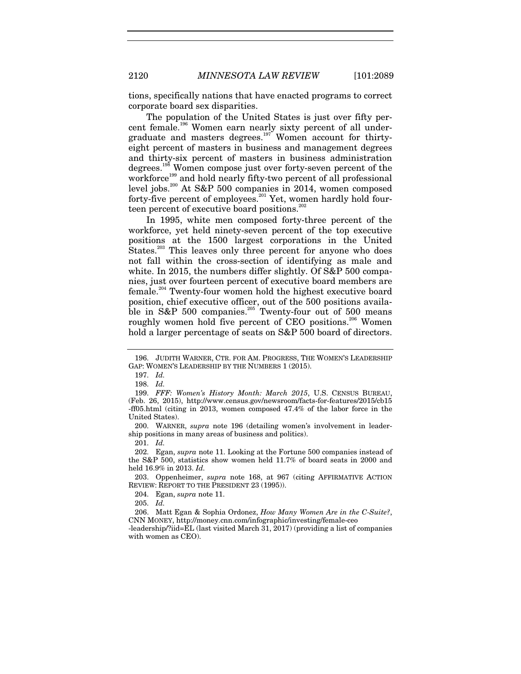tions, specifically nations that have enacted programs to correct corporate board sex disparities.

The population of the United States is just over fifty percent female.<sup>196</sup> Women earn nearly sixty percent of all undergraduate and masters degrees.<sup>197</sup> Women account for thirtyeight percent of masters in business and management degrees and thirty-six percent of masters in business administration degrees.<sup>198</sup> Women compose just over forty-seven percent of the workforce<sup>199</sup> and hold nearly fifty-two percent of all professional level jobs.<sup>200</sup> At S&P 500 companies in 2014, women composed forty-five percent of employees.<sup>201</sup> Yet, women hardly hold fourteen percent of executive board positions.<sup>202</sup>

In 1995, white men composed forty-three percent of the workforce, yet held ninety-seven percent of the top executive positions at the 1500 largest corporations in the United States.<sup>203</sup> This leaves only three percent for anyone who does not fall within the cross-section of identifying as male and white. In 2015, the numbers differ slightly. Of S&P 500 companies, just over fourteen percent of executive board members are female.204 Twenty-four women hold the highest executive board position, chief executive officer, out of the 500 positions available in S&P 500 companies.<sup>205</sup> Twenty-four out of 500 means roughly women hold five percent of CEO positions.<sup>206</sup> Women hold a larger percentage of seats on S&P 500 board of directors.

201. *Id.*

205. *Id.*

 <sup>196.</sup> JUDITH WARNER, CTR. FOR AM. PROGRESS, THE WOMEN'S LEADERSHIP GAP: WOMEN'S LEADERSHIP BY THE NUMBERS 1 (2015).

<sup>197.</sup> *Id.*

<sup>198.</sup> *Id.*

 <sup>199.</sup> *FFF: Women's History Month: March 2015*, U.S. CENSUS BUREAU, (Feb. 26, 2015), http://www.census.gov/newsroom/facts-for-features/2015/cb15 -ff05.html (citing in 2013, women composed 47.4% of the labor force in the United States).

 <sup>200.</sup> WARNER, *supra* note 196 (detailing women's involvement in leadership positions in many areas of business and politics).

 <sup>202.</sup> Egan, *supra* note 11. Looking at the Fortune 500 companies instead of the S&P 500, statistics show women held 11.7% of board seats in 2000 and held 16.9% in 2013. *Id.*

 <sup>203.</sup> Oppenheimer, *supra* note 168, at 967 (citing AFFIRMATIVE ACTION REVIEW: REPORT TO THE PRESIDENT 23 (1995)).

 <sup>204.</sup> Egan, *supra* note 11.

 <sup>206.</sup> Matt Egan & Sophia Ordonez, *How Many Women Are in the C-Suite?*, CNN MONEY, http://money.cnn.com/infographic/investing/female-ceo

<sup>-</sup>leadership/?iid=EL (last visited March 31, 2017) (providing a list of companies with women as CEO).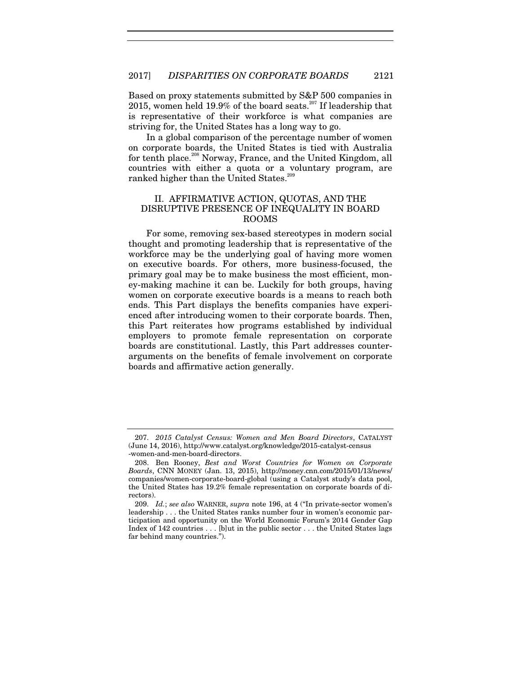Based on proxy statements submitted by S&P 500 companies in 2015, women held 19.9% of the board seats.<sup>207</sup> If leadership that is representative of their workforce is what companies are striving for, the United States has a long way to go.

In a global comparison of the percentage number of women on corporate boards, the United States is tied with Australia for tenth place.<sup>208</sup> Norway, France, and the United Kingdom, all countries with either a quota or a voluntary program, are ranked higher than the United States.<sup>209</sup>

# II. AFFIRMATIVE ACTION, QUOTAS, AND THE DISRUPTIVE PRESENCE OF INEQUALITY IN BOARD ROOMS

For some, removing sex-based stereotypes in modern social thought and promoting leadership that is representative of the workforce may be the underlying goal of having more women on executive boards. For others, more business-focused, the primary goal may be to make business the most efficient, money-making machine it can be. Luckily for both groups, having women on corporate executive boards is a means to reach both ends. This Part displays the benefits companies have experienced after introducing women to their corporate boards. Then, this Part reiterates how programs established by individual employers to promote female representation on corporate boards are constitutional. Lastly, this Part addresses counterarguments on the benefits of female involvement on corporate boards and affirmative action generally.

<sup>207.</sup> *2015 Catalyst Census: Women and Men Board Directors*, CATALYST (June 14, 2016), http://www.catalyst.org/knowledge/2015-catalyst-census -women-and-men-board-directors.

 <sup>208.</sup> Ben Rooney, *Best and Worst Countries for Women on Corporate Boards*, CNN MONEY (Jan. 13, 2015), http://money.cnn.com/2015/01/13/news/ companies/women-corporate-board-global (using a Catalyst study's data pool, the United States has 19.2% female representation on corporate boards of directors).

<sup>209.</sup> *Id.*; *see also* WARNER, *supra* note 196, at 4 ("In private-sector women's leadership . . . the United States ranks number four in women's economic participation and opportunity on the World Economic Forum's 2014 Gender Gap Index of 142 countries . . . [b]ut in the public sector . . . the United States lags far behind many countries.").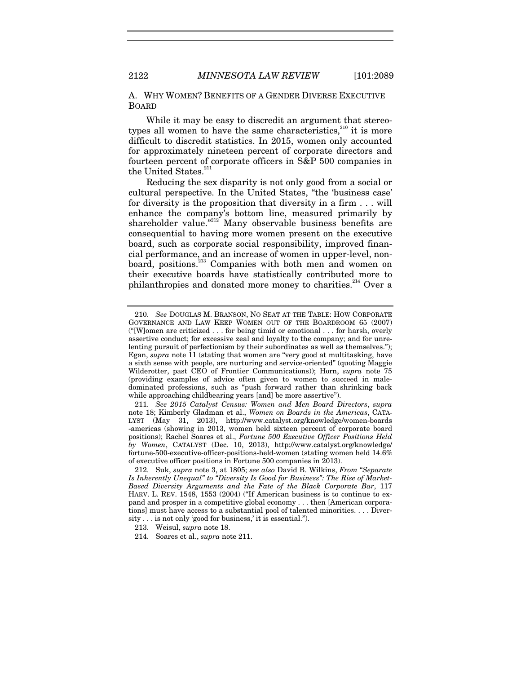A. WHY WOMEN? BENEFITS OF A GENDER DIVERSE EXECUTIVE BOARD

While it may be easy to discredit an argument that stereotypes all women to have the same characteristics, $210$  it is more difficult to discredit statistics. In 2015, women only accounted for approximately nineteen percent of corporate directors and fourteen percent of corporate officers in S&P 500 companies in the United States.<sup>211</sup>

Reducing the sex disparity is not only good from a social or cultural perspective. In the United States, "the 'business case' for diversity is the proposition that diversity in a firm . . . will enhance the company's bottom line, measured primarily by shareholder value."<sup>212</sup> Many observable business benefits are consequential to having more women present on the executive board, such as corporate social responsibility, improved financial performance, and an increase of women in upper-level, nonboard, positions.<sup>213</sup> Companies with both men and women on their executive boards have statistically contributed more to philanthropies and donated more money to charities.<sup>214</sup> Over a

<sup>210.</sup> *See* DOUGLAS M. BRANSON, NO SEAT AT THE TABLE: HOW CORPORATE GOVERNANCE AND LAW KEEP WOMEN OUT OF THE BOARDROOM 65 (2007) ("[W]omen are criticized . . . for being timid or emotional . . . for harsh, overly assertive conduct; for excessive zeal and loyalty to the company; and for unrelenting pursuit of perfectionism by their subordinates as well as themselves."); Egan, *supra* note 11 (stating that women are "very good at multitasking, have a sixth sense with people, are nurturing and service-oriented" (quoting Maggie Wilderotter, past CEO of Frontier Communications)); Horn, *supra* note 75 (providing examples of advice often given to women to succeed in maledominated professions, such as "push forward rather than shrinking back while approaching childbearing years [and] be more assertive").

<sup>211.</sup> *See 2015 Catalyst Census: Women and Men Board Directors*, *supra*  note 18; Kimberly Gladman et al., *Women on Boards in the Americas*, CATA-LYST (May 31, 2013), http://www.catalyst.org/knowledge/women-boards -americas (showing in 2013, women held sixteen percent of corporate board positions); Rachel Soares et al., *Fortune 500 Executive Officer Positions Held by Women*, CATALYST (Dec. 10, 2013), http://www.catalyst.org/knowledge/ fortune-500-executive-officer-positions-held-women (stating women held 14.6% of executive officer positions in Fortune 500 companies in 2013).

 <sup>212.</sup> Suk, *supra* note 3, at 1805; *see also* David B. Wilkins, *From "Separate Is Inherently Unequal" to "Diversity Is Good for Business": The Rise of Market-Based Diversity Arguments and the Fate of the Black Corporate Bar*, 117 HARV. L. REV. 1548, 1553 (2004) ("If American business is to continue to expand and prosper in a competitive global economy . . . then [American corporations] must have access to a substantial pool of talented minorities. . . . Diversity . . . is not only 'good for business,' it is essential.").

 <sup>213.</sup> Weisul, *supra* note 18.

 <sup>214.</sup> Soares et al., *supra* note 211.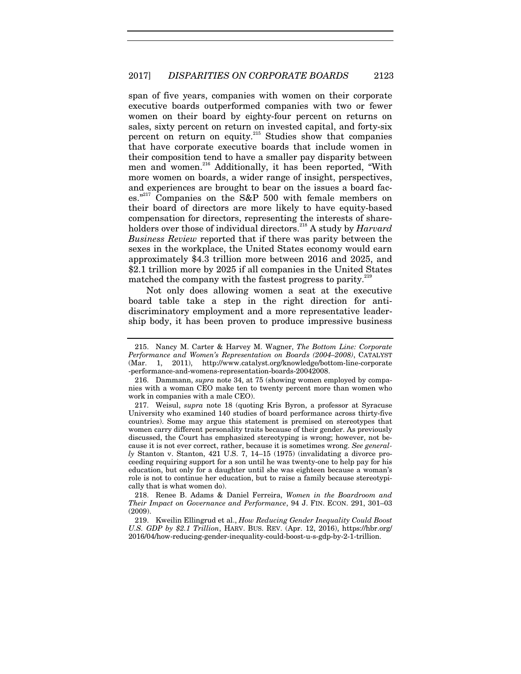span of five years, companies with women on their corporate executive boards outperformed companies with two or fewer women on their board by eighty-four percent on returns on sales, sixty percent on return on invested capital, and forty-six percent on return on equity.<sup>215</sup> Studies show that companies that have corporate executive boards that include women in their composition tend to have a smaller pay disparity between men and women.<sup>216</sup> Additionally, it has been reported, "With more women on boards, a wider range of insight, perspectives, and experiences are brought to bear on the issues a board faces."<sup>217</sup> Companies on the S&P 500 with female members on their board of directors are more likely to have equity-based compensation for directors, representing the interests of shareholders over those of individual directors.218 A study by *Harvard Business Review* reported that if there was parity between the sexes in the workplace, the United States economy would earn approximately \$4.3 trillion more between 2016 and 2025, and \$2.1 trillion more by 2025 if all companies in the United States matched the company with the fastest progress to parity.<sup>219</sup>

Not only does allowing women a seat at the executive board table take a step in the right direction for antidiscriminatory employment and a more representative leadership body, it has been proven to produce impressive business

 218. Renee B. Adams & Daniel Ferreira, *Women in the Boardroom and Their Impact on Governance and Performance*, 94 J. FIN. ECON. 291, 301–03 (2009).

 219. Kweilin Ellingrud et al., *How Reducing Gender Inequality Could Boost U.S. GDP by \$2.1 Trillion*, HARV. BUS. REV. (Apr. 12, 2016), https://hbr.org/ 2016/04/how-reducing-gender-inequality-could-boost-u-s-gdp-by-2-1-trillion.

 <sup>215.</sup> Nancy M. Carter & Harvey M. Wagner, *The Bottom Line: Corporate Performance and Women's Representation on Boards (2004–2008)*, CATALYST (Mar. 1, 2011), http://www.catalyst.org/knowledge/bottom-line-corporate -performance-and-womens-representation-boards-20042008.

 <sup>216.</sup> Dammann, *supra* note 34, at 75 (showing women employed by companies with a woman CEO make ten to twenty percent more than women who work in companies with a male CEO).

 <sup>217.</sup> Weisul, *supra* note 18 (quoting Kris Byron, a professor at Syracuse University who examined 140 studies of board performance across thirty-five countries). Some may argue this statement is premised on stereotypes that women carry different personality traits because of their gender. As previously discussed, the Court has emphasized stereotyping is wrong; however, not because it is not ever correct, rather, because it is sometimes wrong. *See general-* $$ ceeding requiring support for a son until he was twenty-one to help pay for his education, but only for a daughter until she was eighteen because a woman's role is not to continue her education, but to raise a family because stereotypically that is what women do).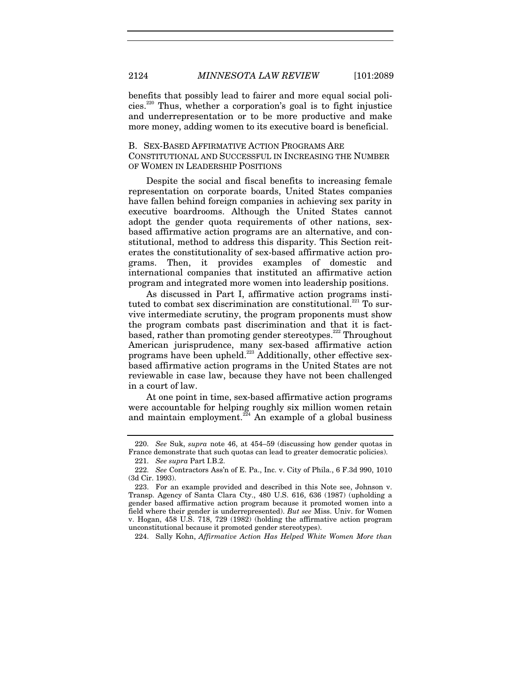benefits that possibly lead to fairer and more equal social policies.<sup>220</sup> Thus, whether a corporation's goal is to fight injustice and underrepresentation or to be more productive and make more money, adding women to its executive board is beneficial.

## B. SEX-BASED AFFIRMATIVE ACTION PROGRAMS ARE CONSTITUTIONAL AND SUCCESSFUL IN INCREASING THE NUMBER OF WOMEN IN LEADERSHIP POSITIONS

Despite the social and fiscal benefits to increasing female representation on corporate boards, United States companies have fallen behind foreign companies in achieving sex parity in executive boardrooms. Although the United States cannot adopt the gender quota requirements of other nations, sexbased affirmative action programs are an alternative, and constitutional, method to address this disparity. This Section reiterates the constitutionality of sex-based affirmative action programs. Then, it provides examples of domestic and international companies that instituted an affirmative action program and integrated more women into leadership positions.

As discussed in Part I, affirmative action programs instituted to combat sex discrimination are constitutional.<sup>221</sup> To survive intermediate scrutiny, the program proponents must show the program combats past discrimination and that it is factbased, rather than promoting gender stereotypes.<sup>222</sup> Throughout American jurisprudence, many sex-based affirmative action programs have been upheld.<sup>223</sup> Additionally, other effective sexbased affirmative action programs in the United States are not reviewable in case law, because they have not been challenged in a court of law.

At one point in time, sex-based affirmative action programs were accountable for helping roughly six million women retain and maintain employment.<sup>224</sup> An example of a global business

224. Sally Kohn, *Affirmative Action Has Helped White Women More than* 

<sup>220.</sup> *See* Suk, *supra* note 46, at 454–59 (discussing how gender quotas in France demonstrate that such quotas can lead to greater democratic policies).

<sup>221.</sup> *See supra* Part I.B.2.

<sup>222.</sup> *See* Contractors Ass'n of E. Pa., Inc. v. City of Phila., 6 F.3d 990, 1010 (3d Cir. 1993).

 <sup>223.</sup> For an example provided and described in this Note see, Johnson v. Transp. Agency of Santa Clara Cty., 480 U.S. 616, 636 (1987) (upholding a gender based affirmative action program because it promoted women into a field where their gender is underrepresented). *But see* Miss. Univ. for Women v. Hogan, 458 U.S. 718, 729 (1982) (holding the affirmative action program unconstitutional because it promoted gender stereotypes).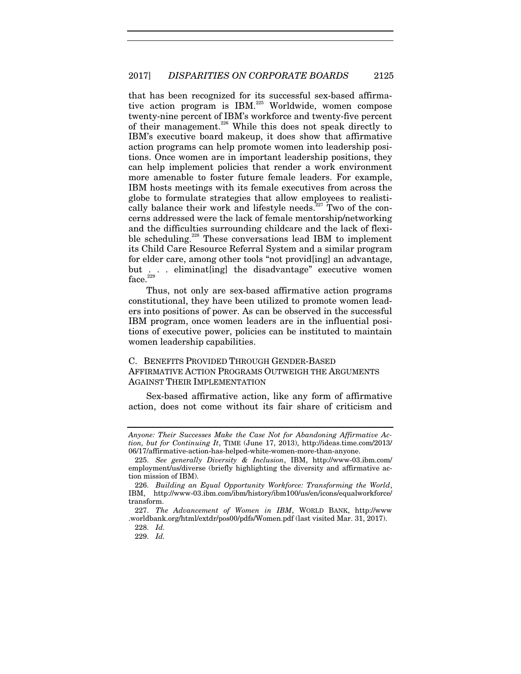that has been recognized for its successful sex-based affirmative action program is IBM.<sup>225</sup> Worldwide, women compose twenty-nine percent of IBM's workforce and twenty-five percent of their management.<sup>226</sup> While this does not speak directly to IBM's executive board makeup, it does show that affirmative action programs can help promote women into leadership positions. Once women are in important leadership positions, they can help implement policies that render a work environment more amenable to foster future female leaders. For example, IBM hosts meetings with its female executives from across the globe to formulate strategies that allow employees to realistically balance their work and lifestyle needs.<sup>227</sup> Two of the concerns addressed were the lack of female mentorship/networking and the difficulties surrounding childcare and the lack of flexible scheduling.<sup>228</sup> These conversations lead IBM to implement its Child Care Resource Referral System and a similar program for elder care, among other tools "not provid[ing] an advantage, but . . . eliminat[ing] the disadvantage" executive women  $\rm{face.}^{229}$ 

Thus, not only are sex-based affirmative action programs constitutional, they have been utilized to promote women leaders into positions of power. As can be observed in the successful IBM program, once women leaders are in the influential positions of executive power, policies can be instituted to maintain women leadership capabilities.

# C. BENEFITS PROVIDED THROUGH GENDER-BASED AFFIRMATIVE ACTION PROGRAMS OUTWEIGH THE ARGUMENTS AGAINST THEIR IMPLEMENTATION

Sex-based affirmative action, like any form of affirmative action, does not come without its fair share of criticism and

*Anyone: Their Successes Make the Case Not for Abandoning Affirmative Action, but for Continuing It*, TIME (June 17, 2013), http://ideas.time.com/2013/ 06/17/affirmative-action-has-helped-white-women-more-than-anyone.

<sup>225.</sup> *See generally Diversity & Inclusion*, IBM, http://www-03.ibm.com/ employment/us/diverse (briefly highlighting the diversity and affirmative action mission of IBM).

<sup>226.</sup> *Building an Equal Opportunity Workforce: Transforming the World*, IBM, http://www-03.ibm.com/ibm/history/ibm100/us/en/icons/equalworkforce/ transform.

<sup>227.</sup> *The Advancement of Women in IBM*, WORLD BANK, http://www .worldbank.org/html/extdr/pos00/pdfs/Women.pdf (last visited Mar. 31, 2017).

<sup>228.</sup> *Id.*

<sup>229.</sup> *Id.*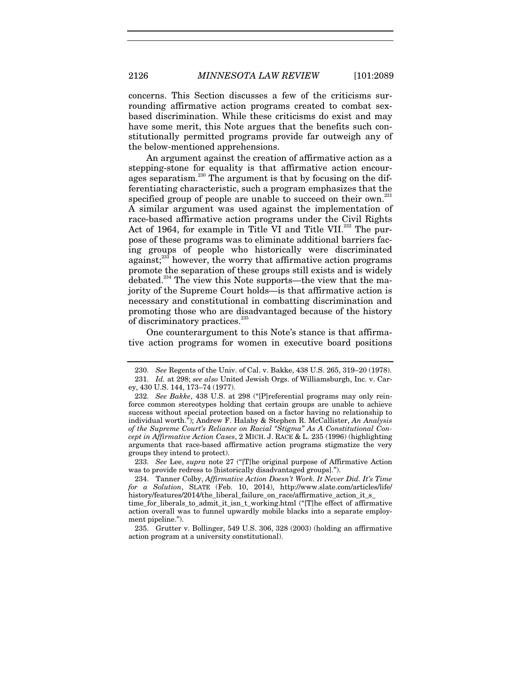concerns. This Section discusses a few of the criticisms surrounding affirmative action programs created to combat sexbased discrimination. While these criticisms do exist and may have some merit, this Note argues that the benefits such constitutionally permitted programs provide far outweigh any of the below-mentioned apprehensions.

An argument against the creation of affirmative action as a stepping-stone for equality is that affirmative action encourages separatism.<sup>230</sup> The argument is that by focusing on the differentiating characteristic, such a program emphasizes that the specified group of people are unable to succeed on their own. $^{231}$ A similar argument was used against the implementation of race-based affirmative action programs under the Civil Rights Act of 1964, for example in Title VI and Title VII.<sup>232</sup> The purpose of these programs was to eliminate additional barriers facing groups of people who historically were discriminated against; $^{233}$  however, the worry that affirmative action programs promote the separation of these groups still exists and is widely debated.<sup>234</sup> The view this Note supports—the view that the majority of the Supreme Court holds—is that affirmative action is necessary and constitutional in combatting discrimination and promoting those who are disadvantaged because of the history of discriminatory practices.<sup>235</sup>

One counterargument to this Note's stance is that affirmative action programs for women in executive board positions

<sup>230.</sup> *See* Regents of the Univ. of Cal. v. Bakke, 438 U.S. 265, 319–20 (1978). 231. *Id.* at 298; *see also* United Jewish Orgs. of Williamsburgh, Inc. v. Carey, 430 U.S. 144, 173–74 (1977).

 <sup>232.</sup> *See Bakke*, 438 U.S. at 298 ("[P]referential programs may only reinforce common stereotypes holding that certain groups are unable to achieve success without special protection based on a factor having no relationship to individual worth."); Andrew F. Halaby & Stephen R. McCallister, *An Analysis of the Supreme Court's Reliance on Racial "Stigma" As A Constitutional Concept in Affirmative Action Cases*, 2 MICH. J. RACE & L. 235 (1996) (highlighting arguments that race-based affirmative action programs stigmatize the very groups they intend to protect).

<sup>233.</sup> *See* Lee, *supra* note 27 ("[T]he original purpose of Affirmative Action was to provide redress to [historically disadvantaged groups].").

 <sup>234.</sup> Tanner Colby, *Affirmative Action Doesn't Work. It Never Did. It's Time for a Solution*, SLATE (Feb. 10, 2014), http://www.slate.com/articles/life/ history/features/2014/the\_liberal\_failure\_on\_race/affirmative\_action\_it\_s\_

time\_for\_liberals\_to\_admit\_it\_isn\_t\_working.html ("[T]he effect of affirmative action overall was to funnel upwardly mobile blacks into a separate employment pipeline.").

 <sup>235.</sup> Grutter v. Bollinger, 549 U.S. 306, 328 (2003) (holding an affirmative action program at a university constitutional).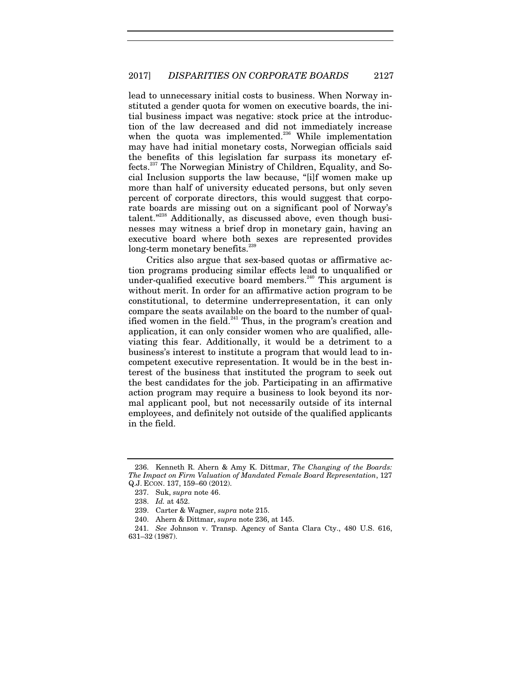lead to unnecessary initial costs to business. When Norway instituted a gender quota for women on executive boards, the initial business impact was negative: stock price at the introduction of the law decreased and did not immediately increase when the quota was implemented.<sup>236</sup> While implementation may have had initial monetary costs, Norwegian officials said the benefits of this legislation far surpass its monetary effects.237 The Norwegian Ministry of Children, Equality, and Social Inclusion supports the law because, "[i]f women make up more than half of university educated persons, but only seven percent of corporate directors, this would suggest that corporate boards are missing out on a significant pool of Norway's talent."238 Additionally, as discussed above, even though businesses may witness a brief drop in monetary gain, having an executive board where both sexes are represented provides long-term monetary benefits.<sup>239</sup>

Critics also argue that sex-based quotas or affirmative action programs producing similar effects lead to unqualified or under-qualified executive board members.<sup>240</sup> This argument is without merit. In order for an affirmative action program to be constitutional, to determine underrepresentation, it can only compare the seats available on the board to the number of qualified women in the field. $241}$  Thus, in the program's creation and application, it can only consider women who are qualified, alleviating this fear. Additionally, it would be a detriment to a business's interest to institute a program that would lead to incompetent executive representation. It would be in the best interest of the business that instituted the program to seek out the best candidates for the job. Participating in an affirmative action program may require a business to look beyond its normal applicant pool, but not necessarily outside of its internal employees, and definitely not outside of the qualified applicants in the field.

 <sup>236.</sup> Kenneth R. Ahern & Amy K. Dittmar, *The Changing of the Boards: The Impact on Firm Valuation of Mandated Female Board Representation*, 127 Q.J. ECON. 137, 159–60 (2012).

 <sup>237.</sup> Suk, *supra* note 46.

<sup>238.</sup> *Id.* at 452.

 <sup>239.</sup> Carter & Wagner, *supra* note 215.

 <sup>240.</sup> Ahern & Dittmar, *supra* note 236, at 145.

<sup>241.</sup> *See* Johnson v. Transp. Agency of Santa Clara Cty., 480 U.S. 616, 631–32 (1987).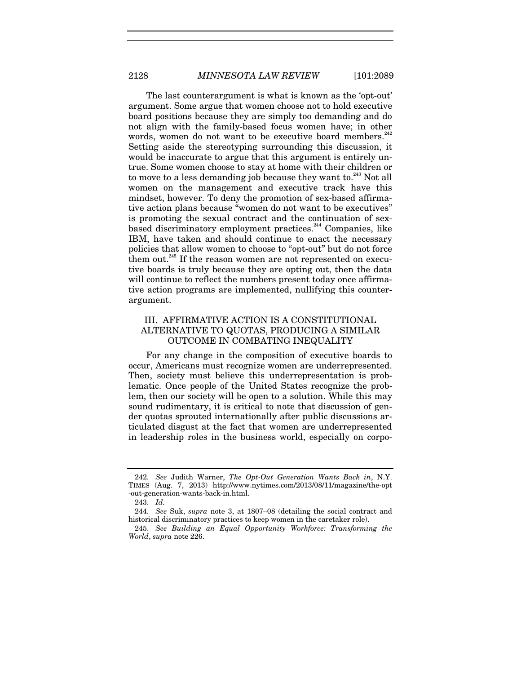The last counterargument is what is known as the 'opt-out' argument. Some argue that women choose not to hold executive board positions because they are simply too demanding and do not align with the family-based focus women have; in other words, women do not want to be executive board members.<sup>242</sup> Setting aside the stereotyping surrounding this discussion, it would be inaccurate to argue that this argument is entirely untrue. Some women choose to stay at home with their children or to move to a less demanding job because they want to.<sup>243</sup> Not all women on the management and executive track have this mindset, however. To deny the promotion of sex-based affirmative action plans because "women do not want to be executives" is promoting the sexual contract and the continuation of sexbased discriminatory employment practices.<sup>244</sup> Companies, like IBM, have taken and should continue to enact the necessary policies that allow women to choose to "opt-out" but do not force them out.<sup>245</sup> If the reason women are not represented on executive boards is truly because they are opting out, then the data will continue to reflect the numbers present today once affirmative action programs are implemented, nullifying this counterargument.

# III. AFFIRMATIVE ACTION IS A CONSTITUTIONAL ALTERNATIVE TO QUOTAS, PRODUCING A SIMILAR OUTCOME IN COMBATING INEQUALITY

For any change in the composition of executive boards to occur, Americans must recognize women are underrepresented. Then, society must believe this underrepresentation is problematic. Once people of the United States recognize the problem, then our society will be open to a solution. While this may sound rudimentary, it is critical to note that discussion of gender quotas sprouted internationally after public discussions articulated disgust at the fact that women are underrepresented in leadership roles in the business world, especially on corpo-

<sup>242.</sup> *See* Judith Warner, *The Opt-Out Generation Wants Back in*, N.Y. TIMES (Aug. 7, 2013) http://www.nytimes.com/2013/08/11/magazine/the-opt -out-generation-wants-back-in.html.

<sup>243.</sup> *Id.*

<sup>244.</sup> *See* Suk, *supra* note 3, at 1807–08 (detailing the social contract and historical discriminatory practices to keep women in the caretaker role).

<sup>245.</sup> *See Building an Equal Opportunity Workforce: Transforming the World*, *supra* note 226.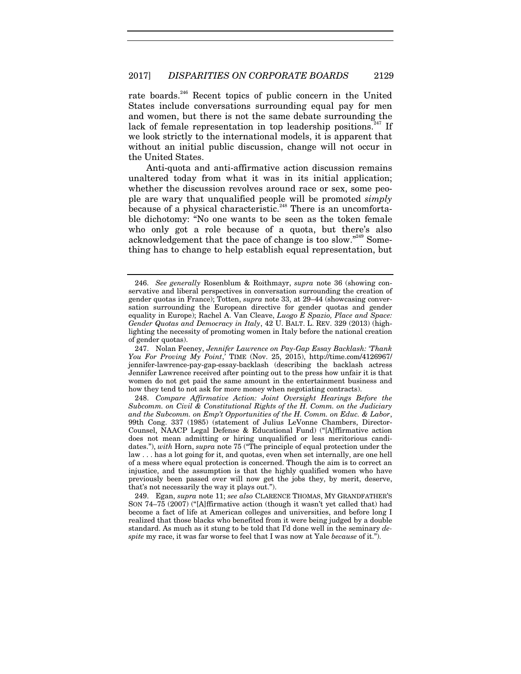rate boards.<sup>246</sup> Recent topics of public concern in the United States include conversations surrounding equal pay for men and women, but there is not the same debate surrounding the lack of female representation in top leadership positions.<sup>247</sup> If we look strictly to the international models, it is apparent that without an initial public discussion, change will not occur in the United States.

Anti-quota and anti-affirmative action discussion remains unaltered today from what it was in its initial application; whether the discussion revolves around race or sex, some people are wary that unqualified people will be promoted *simply* because of a physical characteristic.<sup>248</sup> There is an uncomfortable dichotomy: "No one wants to be seen as the token female who only got a role because of a quota, but there's also acknowledgement that the pace of change is too slow."249 Something has to change to help establish equal representation, but

<sup>246.</sup> *See generally* Rosenblum & Roithmayr, *supra* note 36 (showing conservative and liberal perspectives in conversation surrounding the creation of gender quotas in France); Totten, *supra* note 33, at 29–44 (showcasing conversation surrounding the European directive for gender quotas and gender equality in Europe); Rachel A. Van Cleave, *Luogo E Spazio, Place and Space: Gender Quotas and Democracy in Italy*, 42 U. BALT. L. REV. 329 (2013) (highlighting the necessity of promoting women in Italy before the national creation of gender quotas).

 <sup>247.</sup> Nolan Feeney, *Jennifer Lawrence on Pay-Gap Essay Backlash: 'Thank You For Proving My Point*,*'* TIME (Nov. 25, 2015), http://time.com/4126967/ jennifer-lawrence-pay-gap-essay-backlash (describing the backlash actress Jennifer Lawrence received after pointing out to the press how unfair it is that women do not get paid the same amount in the entertainment business and how they tend to not ask for more money when negotiating contracts).

<sup>248.</sup> *Compare Affirmative Action: Joint Oversight Hearings Before the Subcomm. on Civil & Constitutional Rights of the H. Comm. on the Judiciary and the Subcomm. on Emp't Opportunities of the H. Comm. on Educ. & Labor*, 99th Cong. 337 (1985) (statement of Julius LeVonne Chambers, Director-Counsel, NAACP Legal Defense & Educational Fund) ("[A]ffirmative action does not mean admitting or hiring unqualified or less meritorious candidates."), *with* Horn, *supra* note 75 ("The principle of equal protection under the law . . . has a lot going for it, and quotas, even when set internally, are one hell of a mess where equal protection is concerned. Though the aim is to correct an injustice, and the assumption is that the highly qualified women who have previously been passed over will now get the jobs they, by merit, deserve, that's not necessarily the way it plays out.").

 <sup>249.</sup> Egan, *supra* note 11; *see also* CLARENCE THOMAS, MY GRANDFATHER'S SON 74–75 (2007) ("[A]ffirmative action (though it wasn't yet called that) had become a fact of life at American colleges and universities, and before long I realized that those blacks who benefited from it were being judged by a double standard. As much as it stung to be told that I'd done well in the seminary *despite* my race, it was far worse to feel that I was now at Yale *because* of it.").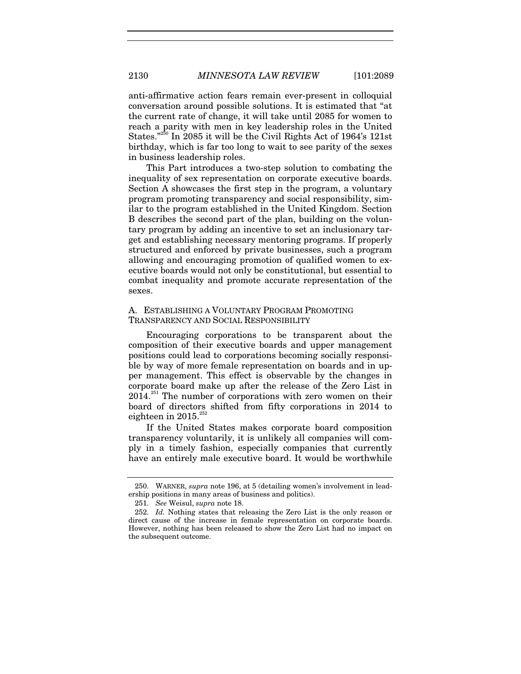anti-affirmative action fears remain ever-present in colloquial conversation around possible solutions. It is estimated that "at the current rate of change, it will take until 2085 for women to reach a parity with men in key leadership roles in the United States."<sup>250</sup> In 2085 it will be the Civil Rights Act of 1964's 121st birthday, which is far too long to wait to see parity of the sexes in business leadership roles.

This Part introduces a two-step solution to combating the inequality of sex representation on corporate executive boards. Section A showcases the first step in the program, a voluntary program promoting transparency and social responsibility, similar to the program established in the United Kingdom. Section B describes the second part of the plan, building on the voluntary program by adding an incentive to set an inclusionary target and establishing necessary mentoring programs. If properly structured and enforced by private businesses, such a program allowing and encouraging promotion of qualified women to executive boards would not only be constitutional, but essential to combat inequality and promote accurate representation of the sexes.

# A. ESTABLISHING A VOLUNTARY PROGRAM PROMOTING TRANSPARENCY AND SOCIAL RESPONSIBILITY

Encouraging corporations to be transparent about the composition of their executive boards and upper management positions could lead to corporations becoming socially responsible by way of more female representation on boards and in upper management. This effect is observable by the changes in corporate board make up after the release of the Zero List in  $2014.<sup>251</sup>$  The number of corporations with zero women on their board of directors shifted from fifty corporations in 2014 to eighteen in  $2015.^{252}$ 

If the United States makes corporate board composition transparency voluntarily, it is unlikely all companies will comply in a timely fashion, especially companies that currently have an entirely male executive board. It would be worthwhile

 <sup>250.</sup> WARNER, *supra* note 196, at 5 (detailing women's involvement in leadership positions in many areas of business and politics).

<sup>251.</sup> *See* Weisul, *supra* note 18.

<sup>252.</sup> *Id.* Nothing states that releasing the Zero List is the only reason or direct cause of the increase in female representation on corporate boards. However, nothing has been released to show the Zero List had no impact on the subsequent outcome.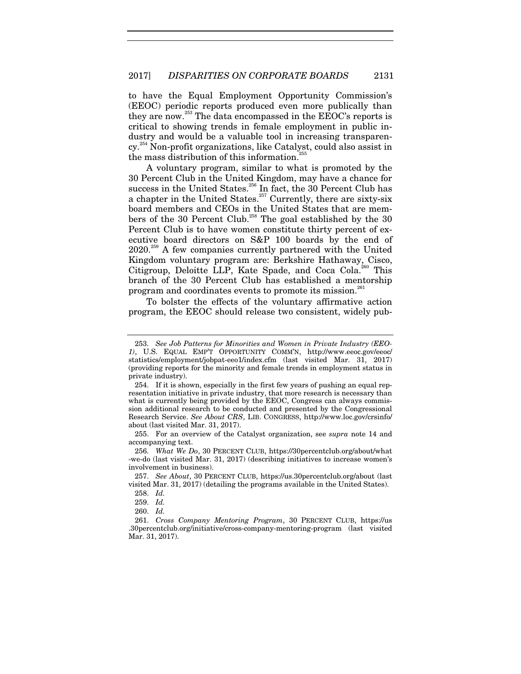to have the Equal Employment Opportunity Commission's (EEOC) periodic reports produced even more publically than they are now.<sup>253</sup> The data encompassed in the EEOC's reports is critical to showing trends in female employment in public industry and would be a valuable tool in increasing transparency.254 Non-profit organizations, like Catalyst, could also assist in the mass distribution of this information.<sup>2</sup>

A voluntary program, similar to what is promoted by the 30 Percent Club in the United Kingdom, may have a chance for success in the United States.<sup>256</sup> In fact, the 30 Percent Club has a chapter in the United States. $257$  Currently, there are sixty-six board members and CEOs in the United States that are members of the 30 Percent Club.<sup>258</sup> The goal established by the 30 Percent Club is to have women constitute thirty percent of executive board directors on S&P 100 boards by the end of 2020.<sup>259</sup> A few companies currently partnered with the United Kingdom voluntary program are: Berkshire Hathaway, Cisco, Citigroup, Deloitte LLP, Kate Spade, and Coca Cola.<sup>260</sup> This branch of the 30 Percent Club has established a mentorship program and coordinates events to promote its mission.<sup>261</sup>

To bolster the effects of the voluntary affirmative action program, the EEOC should release two consistent, widely pub-

<sup>253.</sup> *See Job Patterns for Minorities and Women in Private Industry (EEO-1)*, U.S. EQUAL EMP'T OPPORTUNITY COMM'N, http://www.eeoc.gov/eeoc/ statistics/employment/jobpat-eeo1/index.cfm (last visited Mar. 31, 2017) (providing reports for the minority and female trends in employment status in private industry).

 <sup>254.</sup> If it is shown, especially in the first few years of pushing an equal representation initiative in private industry, that more research is necessary than what is currently being provided by the EEOC, Congress can always commission additional research to be conducted and presented by the Congressional Research Service. *See About CRS*, LIB. CONGRESS, http://www.loc.gov/crsinfo/ about (last visited Mar. 31, 2017).

 <sup>255.</sup> For an overview of the Catalyst organization, see *supra* note 14 and accompanying text.

<sup>256.</sup> *What We Do*, 30 PERCENT CLUB, https://30percentclub.org/about/what -we-do (last visited Mar. 31, 2017) (describing initiatives to increase women's involvement in business).

<sup>257.</sup> *See About*, 30 PERCENT CLUB, https://us.30percentclub.org/about (last visited Mar. 31, 2017) (detailing the programs available in the United States).

<sup>258.</sup> *Id.*

<sup>259.</sup> *Id.*

<sup>260.</sup> *Id.*

<sup>261.</sup> *Cross Company Mentoring Program*, 30 PERCENT CLUB, https://us .30percentclub.org/initiative/cross-company-mentoring-program (last visited Mar. 31, 2017).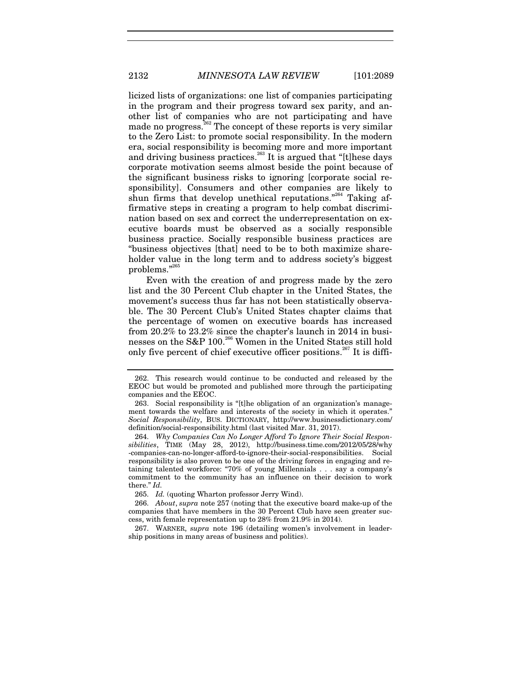licized lists of organizations: one list of companies participating in the program and their progress toward sex parity, and another list of companies who are not participating and have made no progress. $262$  The concept of these reports is very similar to the Zero List: to promote social responsibility. In the modern era, social responsibility is becoming more and more important and driving business practices.<sup>263</sup> It is argued that "[t]hese days corporate motivation seems almost beside the point because of the significant business risks to ignoring [corporate social responsibility]. Consumers and other companies are likely to shun firms that develop unethical reputations."<sup>264</sup> Taking affirmative steps in creating a program to help combat discrimination based on sex and correct the underrepresentation on executive boards must be observed as a socially responsible business practice. Socially responsible business practices are "business objectives [that] need to be to both maximize shareholder value in the long term and to address society's biggest problems." $^{26}$ 

Even with the creation of and progress made by the zero list and the 30 Percent Club chapter in the United States, the movement's success thus far has not been statistically observable. The 30 Percent Club's United States chapter claims that the percentage of women on executive boards has increased from 20.2% to 23.2% since the chapter's launch in 2014 in businesses on the S&P 100.266 Women in the United States still hold only five percent of chief executive officer positions.<sup>267</sup> It is diffi-

265. *Id.* (quoting Wharton professor Jerry Wind).

266. *About*, *supra* note 257 (noting that the executive board make-up of the companies that have members in the 30 Percent Club have seen greater success, with female representation up to 28% from 21.9% in 2014).

 267. WARNER, *supra* note 196 (detailing women's involvement in leadership positions in many areas of business and politics).

 <sup>262.</sup> This research would continue to be conducted and released by the EEOC but would be promoted and published more through the participating companies and the EEOC.

 <sup>263.</sup> Social responsibility is "[t]he obligation of an organization's management towards the welfare and interests of the society in which it operates." *Social Responsibility*, BUS. DICTIONARY, http://www.businessdictionary.com/ definition/social-responsibility.html (last visited Mar. 31, 2017).

<sup>264.</sup> *Why Companies Can No Longer Afford To Ignore Their Social Responsibilities*, TIME (May 28, 2012), http://business.time.com/2012/05/28/why -companies-can-no-longer-afford-to-ignore-their-social-responsibilities. Social responsibility is also proven to be one of the driving forces in engaging and retaining talented workforce: "70% of young Millennials . . . say a company's commitment to the community has an influence on their decision to work there." *Id.*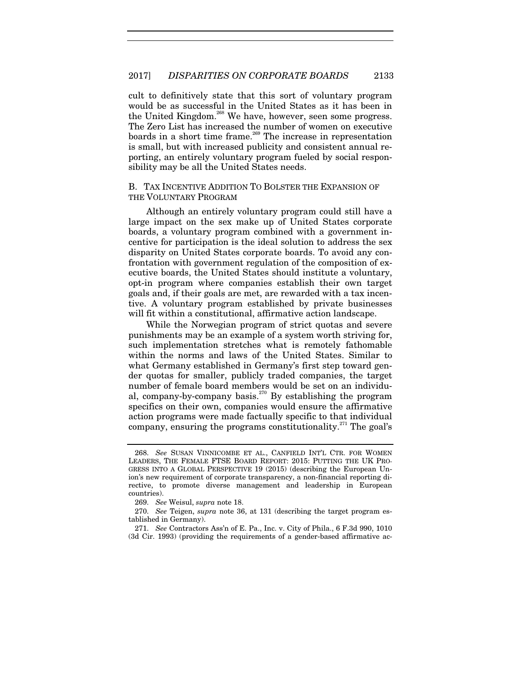cult to definitively state that this sort of voluntary program would be as successful in the United States as it has been in the United Kingdom.<sup>268</sup> We have, however, seen some progress. The Zero List has increased the number of women on executive boards in a short time frame.<sup>269</sup> The increase in representation is small, but with increased publicity and consistent annual reporting, an entirely voluntary program fueled by social responsibility may be all the United States needs.

# B. TAX INCENTIVE ADDITION TO BOLSTER THE EXPANSION OF THE VOLUNTARY PROGRAM

Although an entirely voluntary program could still have a large impact on the sex make up of United States corporate boards, a voluntary program combined with a government incentive for participation is the ideal solution to address the sex disparity on United States corporate boards. To avoid any confrontation with government regulation of the composition of executive boards, the United States should institute a voluntary, opt-in program where companies establish their own target goals and, if their goals are met, are rewarded with a tax incentive. A voluntary program established by private businesses will fit within a constitutional, affirmative action landscape.

While the Norwegian program of strict quotas and severe punishments may be an example of a system worth striving for, such implementation stretches what is remotely fathomable within the norms and laws of the United States. Similar to what Germany established in Germany's first step toward gender quotas for smaller, publicly traded companies, the target number of female board members would be set on an individual, company-by-company basis.<sup>270</sup> By establishing the program specifics on their own, companies would ensure the affirmative action programs were made factually specific to that individual company, ensuring the programs constitutionality.<sup> $271$ </sup> The goal's

<sup>268.</sup> *See* SUSAN VINNICOMBE ET AL., CANFIELD INT'L CTR. FOR WOMEN LEADERS, THE FEMALE FTSE BOARD REPORT: 2015: PUTTING THE UK PRO-GRESS INTO A GLOBAL PERSPECTIVE 19 (2015) (describing the European Union's new requirement of corporate transparency, a non-financial reporting directive, to promote diverse management and leadership in European countries).

<sup>269.</sup> *See* Weisul, *supra* note 18.

<sup>270.</sup> *See* Teigen, *supra* note 36, at 131 (describing the target program established in Germany).

<sup>271.</sup> *See* Contractors Ass'n of E. Pa., Inc. v. City of Phila., 6 F.3d 990, 1010 (3d Cir. 1993) (providing the requirements of a gender-based affirmative ac-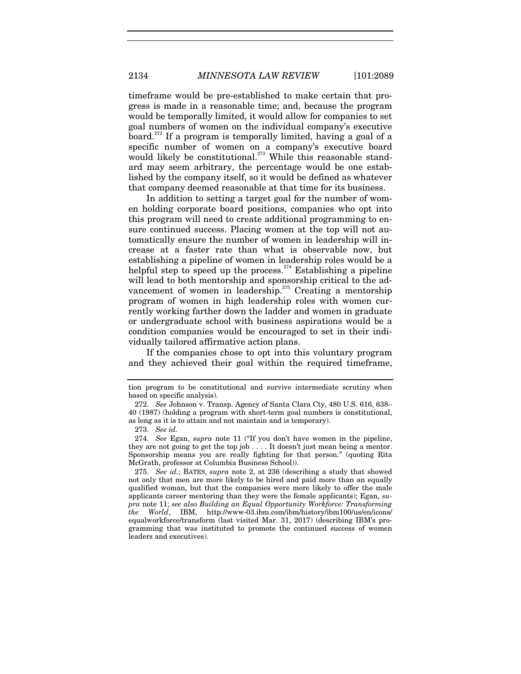timeframe would be pre-established to make certain that progress is made in a reasonable time; and, because the program would be temporally limited, it would allow for companies to set goal numbers of women on the individual company's executive board.<sup>272</sup> If a program is temporally limited, having a goal of a specific number of women on a company's executive board would likely be constitutional.<sup>273</sup> While this reasonable standard may seem arbitrary, the percentage would be one established by the company itself, so it would be defined as whatever that company deemed reasonable at that time for its business.

In addition to setting a target goal for the number of women holding corporate board positions, companies who opt into this program will need to create additional programming to ensure continued success. Placing women at the top will not automatically ensure the number of women in leadership will increase at a faster rate than what is observable now, but establishing a pipeline of women in leadership roles would be a helpful step to speed up the process.<sup>274</sup> Establishing a pipeline will lead to both mentorship and sponsorship critical to the advancement of women in leadership.<sup>275</sup> Creating a mentorship program of women in high leadership roles with women currently working farther down the ladder and women in graduate or undergraduate school with business aspirations would be a condition companies would be encouraged to set in their individually tailored affirmative action plans.

If the companies chose to opt into this voluntary program and they achieved their goal within the required timeframe,

tion program to be constitutional and survive intermediate scrutiny when based on specific analysis).

<sup>272.</sup> *See* Johnson v. Transp. Agency of Santa Clara Cty, 480 U.S. 616, 638– 40 (1987) (holding a program with short-term goal numbers is constitutional, as long as it is to attain and not maintain and is temporary).

<sup>273.</sup> *See id.*

<sup>274.</sup> *See* Egan, *supra* note 11 ("If you don't have women in the pipeline, they are not going to get the top job . . . . It doesn't just mean being a mentor. Sponsorship means you are really fighting for that person." (quoting Rita McGrath, professor at Columbia Business School)).

<sup>275.</sup> *See id.*; BATES, *supra* note 2, at 236 (describing a study that showed not only that men are more likely to be hired and paid more than an equally qualified woman, but that the companies were more likely to offer the male applicants career mentoring than they were the female applicants); Egan, *supra* note 11; *see also Building an Equal Opportunity Workforce: Transforming the World*, IBM, http://www-03.ibm.com/ibm/history/ibm100/us/en/icons/ equalworkforce/transform (last visited Mar. 31, 2017) (describing IBM's programming that was instituted to promote the continued success of women leaders and executives).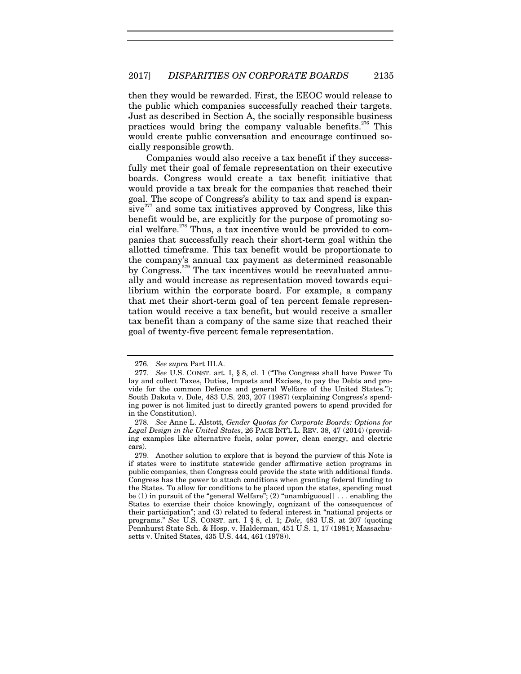then they would be rewarded. First, the EEOC would release to the public which companies successfully reached their targets. Just as described in Section A, the socially responsible business practices would bring the company valuable benefits.<sup>276</sup> This would create public conversation and encourage continued socially responsible growth.

Companies would also receive a tax benefit if they successfully met their goal of female representation on their executive boards. Congress would create a tax benefit initiative that would provide a tax break for the companies that reached their goal. The scope of Congress's ability to tax and spend is expan $sive^{277}$  and some tax initiatives approved by Congress, like this benefit would be, are explicitly for the purpose of promoting social welfare.<sup>278</sup> Thus, a tax incentive would be provided to companies that successfully reach their short-term goal within the allotted timeframe. This tax benefit would be proportionate to the company's annual tax payment as determined reasonable by Congress.<sup>279</sup> The tax incentives would be reevaluated annually and would increase as representation moved towards equilibrium within the corporate board. For example, a company that met their short-term goal of ten percent female representation would receive a tax benefit, but would receive a smaller tax benefit than a company of the same size that reached their goal of twenty-five percent female representation.

<sup>276.</sup> *See supra* Part III.A.

<sup>277.</sup> *See* U.S. CONST. art. I, § 8, cl. 1 ("The Congress shall have Power To lay and collect Taxes, Duties, Imposts and Excises, to pay the Debts and provide for the common Defence and general Welfare of the United States."); South Dakota v. Dole, 483 U.S. 203, 207 (1987) (explaining Congress's spending power is not limited just to directly granted powers to spend provided for in the Constitution).

<sup>278.</sup> *See* Anne L. Alstott, *Gender Quotas for Corporate Boards: Options for Legal Design in the United States*, 26 PACE INT'L L. REV. 38, 47 (2014) (providing examples like alternative fuels, solar power, clean energy, and electric cars).

 <sup>279.</sup> Another solution to explore that is beyond the purview of this Note is if states were to institute statewide gender affirmative action programs in public companies, then Congress could provide the state with additional funds. Congress has the power to attach conditions when granting federal funding to the States. To allow for conditions to be placed upon the states, spending must be (1) in pursuit of the "general Welfare"; (2) "unambiguous[] . . . enabling the States to exercise their choice knowingly, cognizant of the consequences of their participation"; and (3) related to federal interest in "national projects or programs." *See* U.S. CONST. art. I § 8, cl. 1; *Dole*, 483 U.S. at 207 (quoting Pennhurst State Sch. & Hosp. v. Halderman, 451 U.S. 1, 17 (1981); Massachusetts v. United States, 435 U.S. 444, 461 (1978)).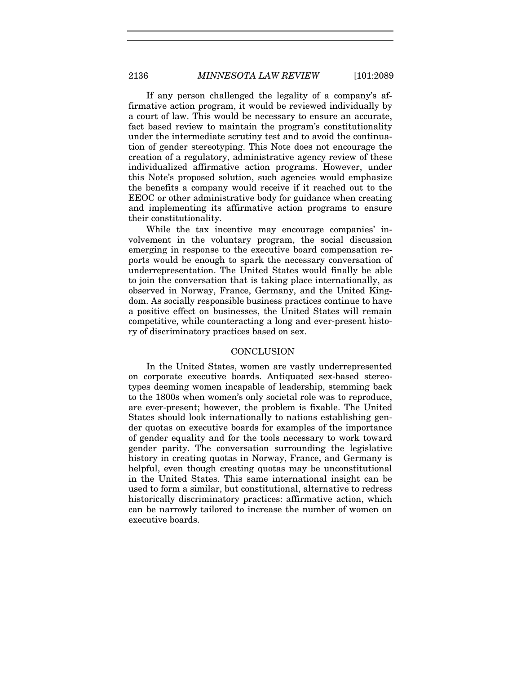If any person challenged the legality of a company's affirmative action program, it would be reviewed individually by a court of law. This would be necessary to ensure an accurate, fact based review to maintain the program's constitutionality under the intermediate scrutiny test and to avoid the continuation of gender stereotyping. This Note does not encourage the creation of a regulatory, administrative agency review of these individualized affirmative action programs. However, under this Note's proposed solution, such agencies would emphasize the benefits a company would receive if it reached out to the EEOC or other administrative body for guidance when creating and implementing its affirmative action programs to ensure their constitutionality.

While the tax incentive may encourage companies' involvement in the voluntary program, the social discussion emerging in response to the executive board compensation reports would be enough to spark the necessary conversation of underrepresentation. The United States would finally be able to join the conversation that is taking place internationally, as observed in Norway, France, Germany, and the United Kingdom. As socially responsible business practices continue to have a positive effect on businesses, the United States will remain competitive, while counteracting a long and ever-present history of discriminatory practices based on sex.

## **CONCLUSION**

In the United States, women are vastly underrepresented on corporate executive boards. Antiquated sex-based stereotypes deeming women incapable of leadership, stemming back to the 1800s when women's only societal role was to reproduce, are ever-present; however, the problem is fixable. The United States should look internationally to nations establishing gender quotas on executive boards for examples of the importance of gender equality and for the tools necessary to work toward gender parity. The conversation surrounding the legislative history in creating quotas in Norway, France, and Germany is helpful, even though creating quotas may be unconstitutional in the United States. This same international insight can be used to form a similar, but constitutional, alternative to redress historically discriminatory practices: affirmative action, which can be narrowly tailored to increase the number of women on executive boards.